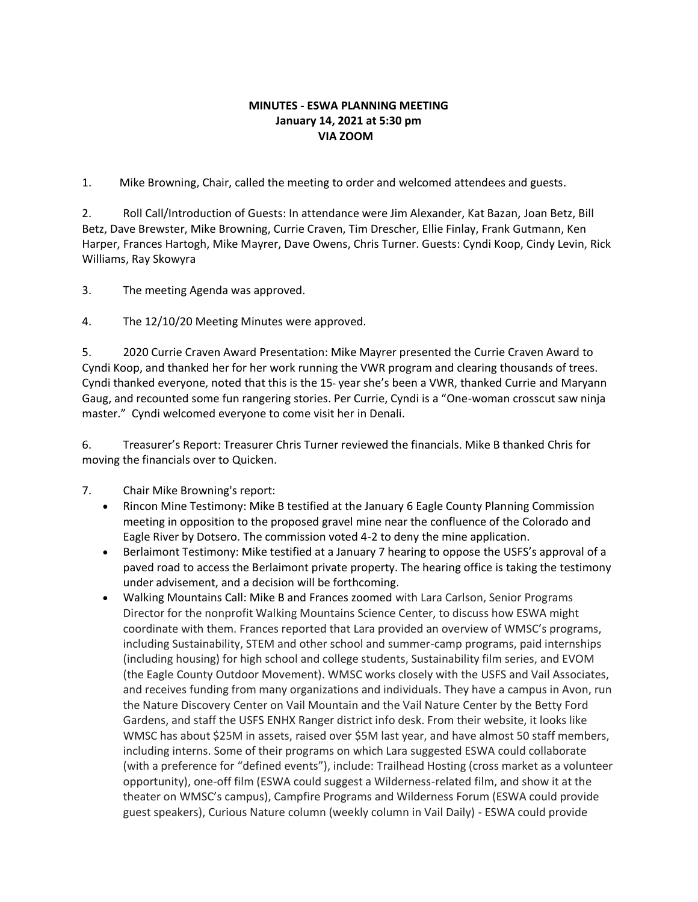#### **MINUTES - ESWA PLANNING MEETING January 14, 2021 at 5:30 pm VIA ZOOM**

1. Mike Browning, Chair, called the meeting to order and welcomed attendees and guests.

2. Roll Call/Introduction of Guests: In attendance were Jim Alexander, Kat Bazan, Joan Betz, Bill Betz, Dave Brewster, Mike Browning, Currie Craven, Tim Drescher, Ellie Finlay, Frank Gutmann, Ken Harper, Frances Hartogh, Mike Mayrer, Dave Owens, Chris Turner. Guests: Cyndi Koop, Cindy Levin, Rick Williams, Ray Skowyra

3. The meeting Agenda was approved.

4. The 12/10/20 Meeting Minutes were approved.

5. 2020 Currie Craven Award Presentation: Mike Mayrer presented the Currie Craven Award to Cyndi Koop, and thanked her for her work running the VWR program and clearing thousands of trees. Cyndi thanked everyone, noted that this is the 15-year she's been a VWR, thanked Currie and Maryann Gaug, and recounted some fun rangering stories. Per Currie, Cyndi is a "One-woman crosscut saw ninja master." Cyndi welcomed everyone to come visit her in Denali.

6. Treasurer's Report: Treasurer Chris Turner reviewed the financials. Mike B thanked Chris for moving the financials over to Quicken.

7. Chair Mike Browning's report:

- Rincon Mine Testimony: Mike B testified at the January 6 Eagle County Planning Commission meeting in opposition to the proposed gravel mine near the confluence of the Colorado and Eagle River by Dotsero. The commission voted 4-2 to deny the mine application.
- Berlaimont Testimony: Mike testified at a January 7 hearing to oppose the USFS's approval of a paved road to access the Berlaimont private property. The hearing office is taking the testimony under advisement, and a decision will be forthcoming.
- Walking Mountains Call: Mike B and Frances zoomed with Lara Carlson, Senior Programs Director for the nonprofit Walking Mountains Science Center, to discuss how ESWA might coordinate with them. Frances reported that Lara provided an overview of WMSC's programs, including Sustainability, STEM and other school and summer-camp programs, paid internships (including housing) for high school and college students, Sustainability film series, and EVOM (the Eagle County Outdoor Movement). WMSC works closely with the USFS and Vail Associates, and receives funding from many organizations and individuals. They have a campus in Avon, run the Nature Discovery Center on Vail Mountain and the Vail Nature Center by the Betty Ford Gardens, and staff the USFS ENHX Ranger district info desk. From their website, it looks like WMSC has about \$25M in assets, raised over \$5M last year, and have almost 50 staff members, including interns. Some of their programs on which Lara suggested ESWA could collaborate (with a preference for "defined events"), include: Trailhead Hosting (cross market as a volunteer opportunity), one-off film (ESWA could suggest a Wilderness-related film, and show it at the theater on WMSC's campus), Campfire Programs and Wilderness Forum (ESWA could provide guest speakers), Curious Nature column (weekly column in Vail Daily) - ESWA could provide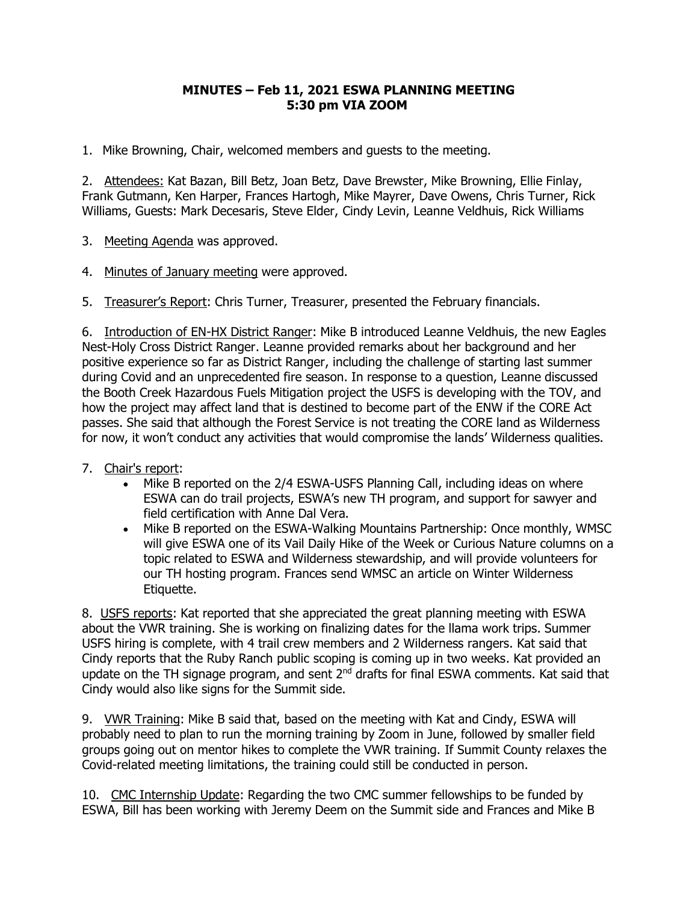# **MINUTES – Feb 11, 2021 ESWA PLANNING MEETING 5:30 pm VIA ZOOM**

1. Mike Browning, Chair, welcomed members and guests to the meeting.

2. Attendees: Kat Bazan, Bill Betz, Joan Betz, Dave Brewster, Mike Browning, Ellie Finlay, Frank Gutmann, Ken Harper, Frances Hartogh, Mike Mayrer, Dave Owens, Chris Turner, Rick Williams, Guests: Mark Decesaris, Steve Elder, Cindy Levin, Leanne Veldhuis, Rick Williams

3. Meeting Agenda was approved.

4. Minutes of January meeting were approved.

5. Treasurer's Report: Chris Turner, Treasurer, presented the February financials.

6. Introduction of EN-HX District Ranger: Mike B introduced Leanne Veldhuis, the new Eagles Nest-Holy Cross District Ranger. Leanne provided remarks about her background and her positive experience so far as District Ranger, including the challenge of starting last summer during Covid and an unprecedented fire season. In response to a question, Leanne discussed the Booth Creek Hazardous Fuels Mitigation project the USFS is developing with the TOV, and how the project may affect land that is destined to become part of the ENW if the CORE Act passes. She said that although the Forest Service is not treating the CORE land as Wilderness for now, it won't conduct any activities that would compromise the lands' Wilderness qualities.

- 7. Chair's report:
	- Mike B reported on the 2/4 ESWA-USFS Planning Call, including ideas on where ESWA can do trail projects, ESWA's new TH program, and support for sawyer and field certification with Anne Dal Vera.
	- Mike B reported on the ESWA-Walking Mountains Partnership: Once monthly, WMSC will give ESWA one of its Vail Daily Hike of the Week or Curious Nature columns on a topic related to ESWA and Wilderness stewardship, and will provide volunteers for our TH hosting program. Frances send WMSC an article on Winter Wilderness Etiquette.

8. USFS reports: Kat reported that she appreciated the great planning meeting with ESWA about the VWR training. She is working on finalizing dates for the llama work trips. Summer USFS hiring is complete, with 4 trail crew members and 2 Wilderness rangers. Kat said that Cindy reports that the Ruby Ranch public scoping is coming up in two weeks. Kat provided an update on the TH signage program, and sent 2<sup>nd</sup> drafts for final ESWA comments. Kat said that Cindy would also like signs for the Summit side.

9. VWR Training: Mike B said that, based on the meeting with Kat and Cindy, ESWA will probably need to plan to run the morning training by Zoom in June, followed by smaller field groups going out on mentor hikes to complete the VWR training. If Summit County relaxes the Covid-related meeting limitations, the training could still be conducted in person.

10. CMC Internship Update: Regarding the two CMC summer fellowships to be funded by ESWA, Bill has been working with Jeremy Deem on the Summit side and Frances and Mike B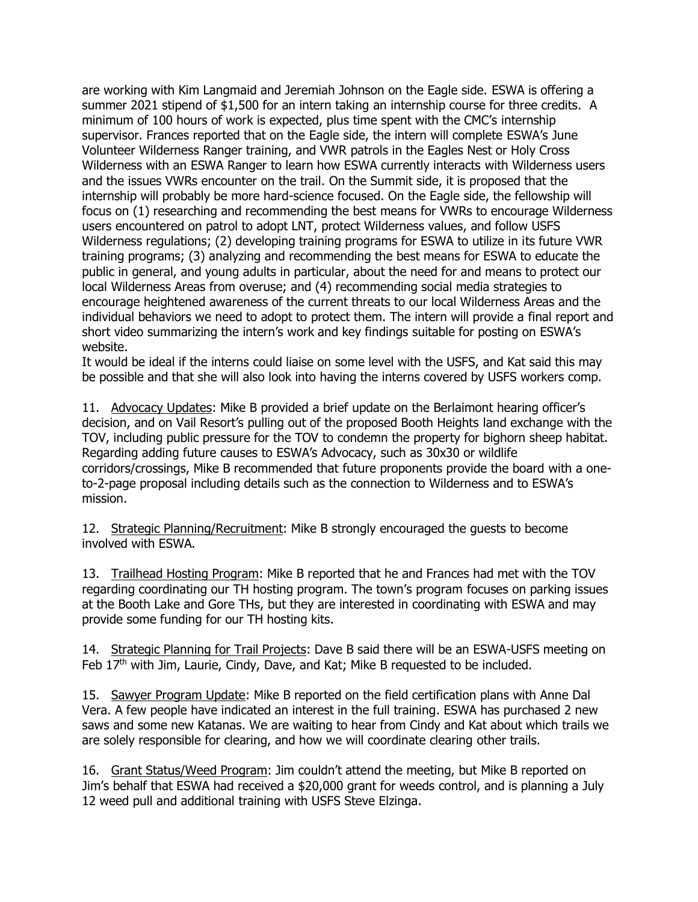are working with Kim Langmaid and Jeremiah Johnson on the Eagle side. ESWA is offering a summer 2021 stipend of \$1,500 for an intern taking an internship course for three credits. A minimum of 100 hours of work is expected, plus time spent with the CMC's internship supervisor. Frances reported that on the Eagle side, the intern will complete ESWA's June Volunteer Wilderness Ranger training, and VWR patrols in the Eagles Nest or Holy Cross Wilderness with an ESWA Ranger to learn how ESWA currently interacts with Wilderness users and the issues VWRs encounter on the trail. On the Summit side, it is proposed that the internship will probably be more hard-science focused. On the Eagle side, the fellowship will focus on (1) researching and recommending the best means for VWRs to encourage Wilderness users encountered on patrol to adopt LNT, protect Wilderness values, and follow USFS Wilderness regulations; (2) developing training programs for ESWA to utilize in its future VWR training programs; (3) analyzing and recommending the best means for ESWA to educate the public in general, and young adults in particular, about the need for and means to protect our local Wilderness Areas from overuse; and (4) recommending social media strategies to encourage heightened awareness of the current threats to our local Wilderness Areas and the individual behaviors we need to adopt to protect them. The intern will provide a final report and short video summarizing the intern's work and key findings suitable for posting on ESWA's website.

It would be ideal if the interns could liaise on some level with the USFS, and Kat said this may be possible and that she will also look into having the interns covered by USFS workers comp.

11. Advocacy Updates: Mike B provided a brief update on the Berlaimont hearing officer's decision, and on Vail Resort's pulling out of the proposed Booth Heights land exchange with the TOV, including public pressure for the TOV to condemn the property for bighorn sheep habitat. Regarding adding future causes to ESWA's Advocacy, such as 30x30 or wildlife corridors/crossings, Mike B recommended that future proponents provide the board with a oneto-2-page proposal including details such as the connection to Wilderness and to ESWA's mission.

12. Strategic Planning/Recruitment: Mike B strongly encouraged the guests to become involved with ESWA.

13. Trailhead Hosting Program: Mike B reported that he and Frances had met with the TOV regarding coordinating our TH hosting program. The town's program focuses on parking issues at the Booth Lake and Gore THs, but they are interested in coordinating with ESWA and may provide some funding for our TH hosting kits.

14. Strategic Planning for Trail Projects: Dave B said there will be an ESWA-USFS meeting on Feb  $17<sup>th</sup>$  with Jim, Laurie, Cindy, Dave, and Kat; Mike B requested to be included.

15. Sawyer Program Update: Mike B reported on the field certification plans with Anne Dal Vera. A few people have indicated an interest in the full training. ESWA has purchased 2 new saws and some new Katanas. We are waiting to hear from Cindy and Kat about which trails we are solely responsible for clearing, and how we will coordinate clearing other trails.

16. Grant Status/Weed Program: Jim couldn't attend the meeting, but Mike B reported on Jim's behalf that ESWA had received a \$20,000 grant for weeds control, and is planning a July 12 weed pull and additional training with USFS Steve Elzinga.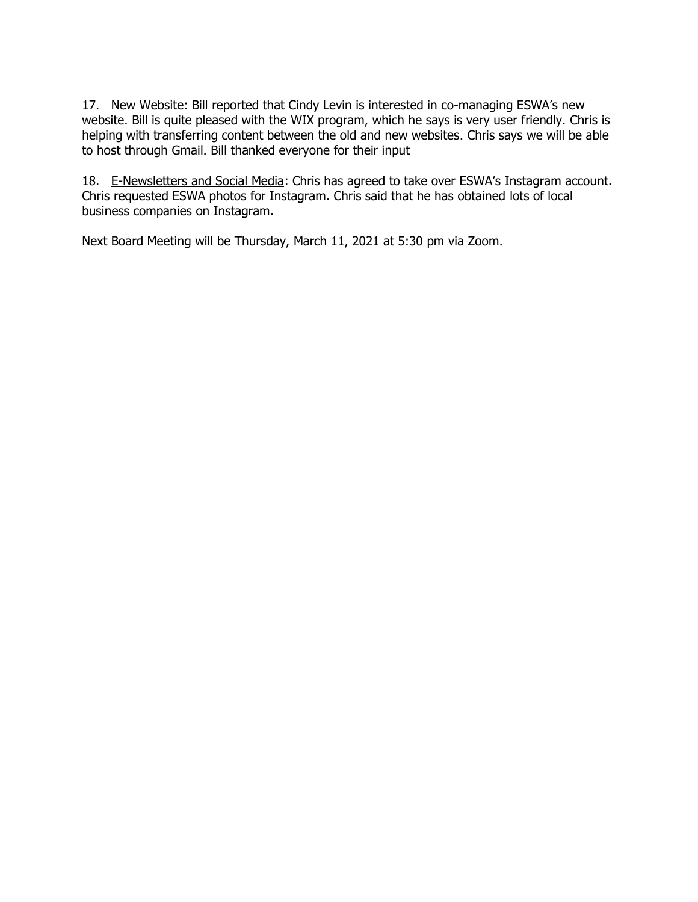17. New Website: Bill reported that Cindy Levin is interested in co-managing ESWA's new website. Bill is quite pleased with the WIX program, which he says is very user friendly. Chris is helping with transferring content between the old and new websites. Chris says we will be able to host through Gmail. Bill thanked everyone for their input

18. E-Newsletters and Social Media: Chris has agreed to take over ESWA's Instagram account. Chris requested ESWA photos for Instagram. Chris said that he has obtained lots of local business companies on Instagram.

Next Board Meeting will be Thursday, March 11, 2021 at 5:30 pm via Zoom.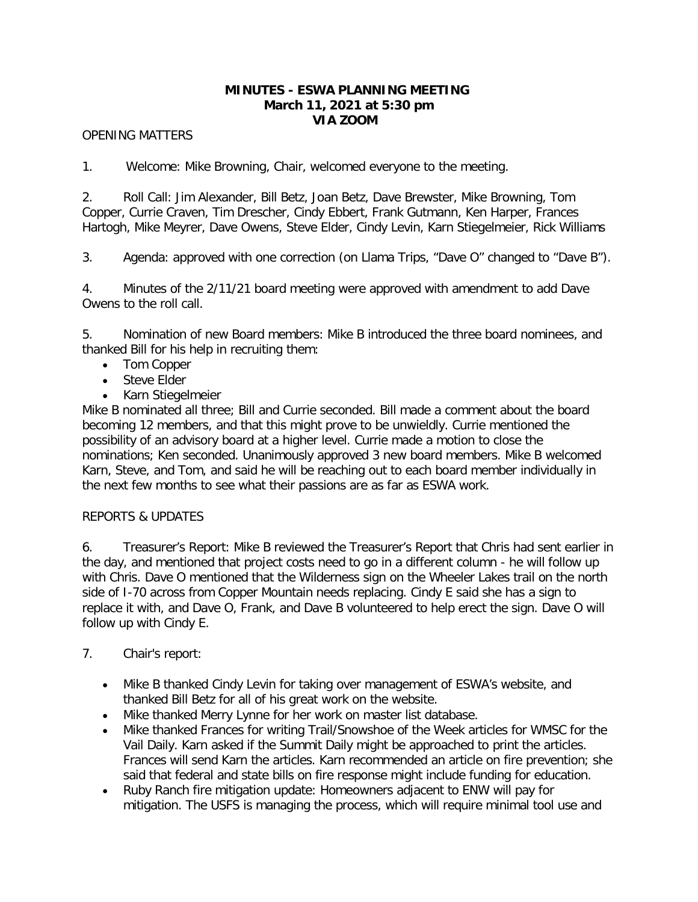## **MINUTES - ESWA PLANNING MEETING March 11, 2021 at 5:30 pm VIA ZOOM**

## OPENING MATTERS

1. Welcome: Mike Browning, Chair, welcomed everyone to the meeting.

2. Roll Call: Jim Alexander, Bill Betz, Joan Betz, Dave Brewster, Mike Browning, Tom Copper, Currie Craven, Tim Drescher, Cindy Ebbert, Frank Gutmann, Ken Harper, Frances Hartogh, Mike Meyrer, Dave Owens, Steve Elder, Cindy Levin, Karn Stiegelmeier, Rick Williams

3. Agenda: approved with one correction (on Llama Trips, "Dave O" changed to "Dave B").

4. Minutes of the 2/11/21 board meeting were approved with amendment to add Dave Owens to the roll call.

5. Nomination of new Board members: Mike B introduced the three board nominees, and thanked Bill for his help in recruiting them:

- Tom Copper
- Steve Elder
- Karn Stiegelmeier

Mike B nominated all three; Bill and Currie seconded. Bill made a comment about the board becoming 12 members, and that this might prove to be unwieldly. Currie mentioned the possibility of an advisory board at a higher level. Currie made a motion to close the nominations; Ken seconded. Unanimously approved 3 new board members. Mike B welcomed Karn, Steve, and Tom, and said he will be reaching out to each board member individually in the next few months to see what their passions are as far as ESWA work.

## REPORTS & UPDATES

6. Treasurer's Report: Mike B reviewed the Treasurer's Report that Chris had sent earlier in the day, and mentioned that project costs need to go in a different column - he will follow up with Chris. Dave O mentioned that the Wilderness sign on the Wheeler Lakes trail on the north side of I-70 across from Copper Mountain needs replacing. Cindy E said she has a sign to replace it with, and Dave O, Frank, and Dave B volunteered to help erect the sign. Dave O will follow up with Cindy E.

## 7. Chair's report:

- Mike B thanked Cindy Levin for taking over management of ESWA's website, and thanked Bill Betz for all of his great work on the website.
- Mike thanked Merry Lynne for her work on master list database.
- Mike thanked Frances for writing Trail/Snowshoe of the Week articles for WMSC for the Vail Daily. Karn asked if the Summit Daily might be approached to print the articles. Frances will send Karn the articles. Karn recommended an article on fire prevention; she said that federal and state bills on fire response might include funding for education.
- Ruby Ranch fire mitigation update: Homeowners adjacent to ENW will pay for mitigation. The USFS is managing the process, which will require minimal tool use and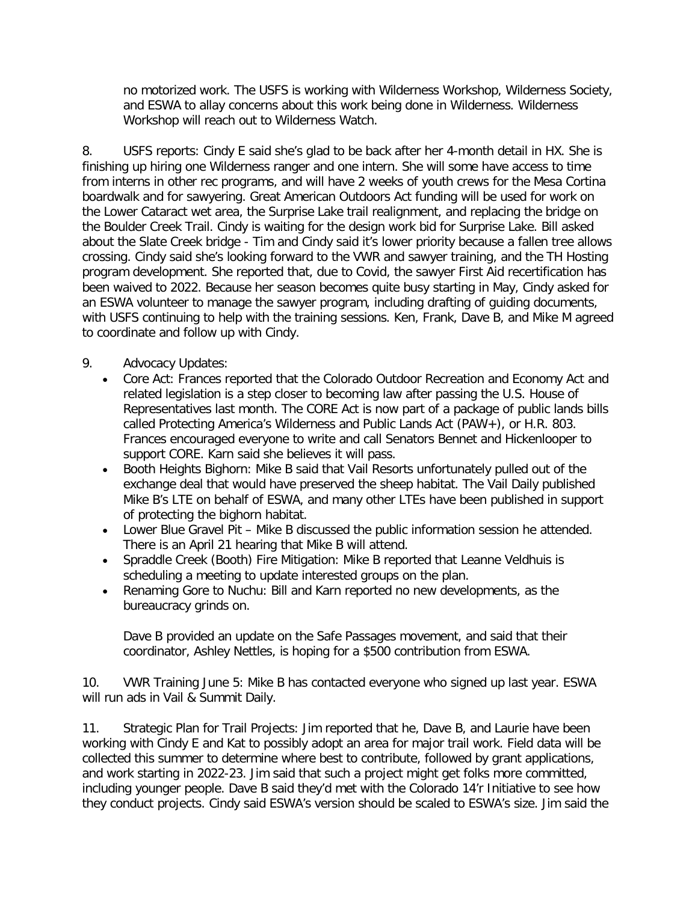no motorized work. The USFS is working with Wilderness Workshop, Wilderness Society, and ESWA to allay concerns about this work being done in Wilderness. Wilderness Workshop will reach out to Wilderness Watch.

8. USFS reports: Cindy E said she's glad to be back after her 4-month detail in HX. She is finishing up hiring one Wilderness ranger and one intern. She will some have access to time from interns in other rec programs, and will have 2 weeks of youth crews for the Mesa Cortina boardwalk and for sawyering. Great American Outdoors Act funding will be used for work on the Lower Cataract wet area, the Surprise Lake trail realignment, and replacing the bridge on the Boulder Creek Trail. Cindy is waiting for the design work bid for Surprise Lake. Bill asked about the Slate Creek bridge - Tim and Cindy said it's lower priority because a fallen tree allows crossing. Cindy said she's looking forward to the VWR and sawyer training, and the TH Hosting program development. She reported that, due to Covid, the sawyer First Aid recertification has been waived to 2022. Because her season becomes quite busy starting in May, Cindy asked for an ESWA volunteer to manage the sawyer program, including drafting of guiding documents, with USFS continuing to help with the training sessions. Ken, Frank, Dave B, and Mike M agreed to coordinate and follow up with Cindy.

# 9. Advocacy Updates:

- Core Act: Frances reported that the Colorado Outdoor Recreation and Economy Act and related legislation is a step closer to becoming law after passing the U.S. House of Representatives last month. The CORE Act is now part of a package of public lands bills called Protecting America's Wilderness and Public Lands Act (PAW+), or H.R. 803. Frances encouraged everyone to write and call Senators Bennet and Hickenlooper to support CORE. Karn said she believes it will pass.
- Booth Heights Bighorn: Mike B said that Vail Resorts unfortunately pulled out of the exchange deal that would have preserved the sheep habitat. The Vail Daily published Mike B's LTE on behalf of ESWA, and many other LTEs have been published in support of protecting the bighorn habitat.
- Lower Blue Gravel Pit Mike B discussed the public information session he attended. There is an April 21 hearing that Mike B will attend.
- Spraddle Creek (Booth) Fire Mitigation: Mike B reported that Leanne Veldhuis is scheduling a meeting to update interested groups on the plan.
- Renaming Gore to Nuchu: Bill and Karn reported no new developments, as the bureaucracy grinds on.

Dave B provided an update on the Safe Passages movement, and said that their coordinator, Ashley Nettles, is hoping for a \$500 contribution from ESWA.

10. VWR Training June 5: Mike B has contacted everyone who signed up last year. ESWA will run ads in Vail & Summit Daily.

11. Strategic Plan for Trail Projects: Jim reported that he, Dave B, and Laurie have been working with Cindy E and Kat to possibly adopt an area for major trail work. Field data will be collected this summer to determine where best to contribute, followed by grant applications, and work starting in 2022-23. Jim said that such a project might get folks more committed, including younger people. Dave B said they'd met with the Colorado 14'r Initiative to see how they conduct projects. Cindy said ESWA's version should be scaled to ESWA's size. Jim said the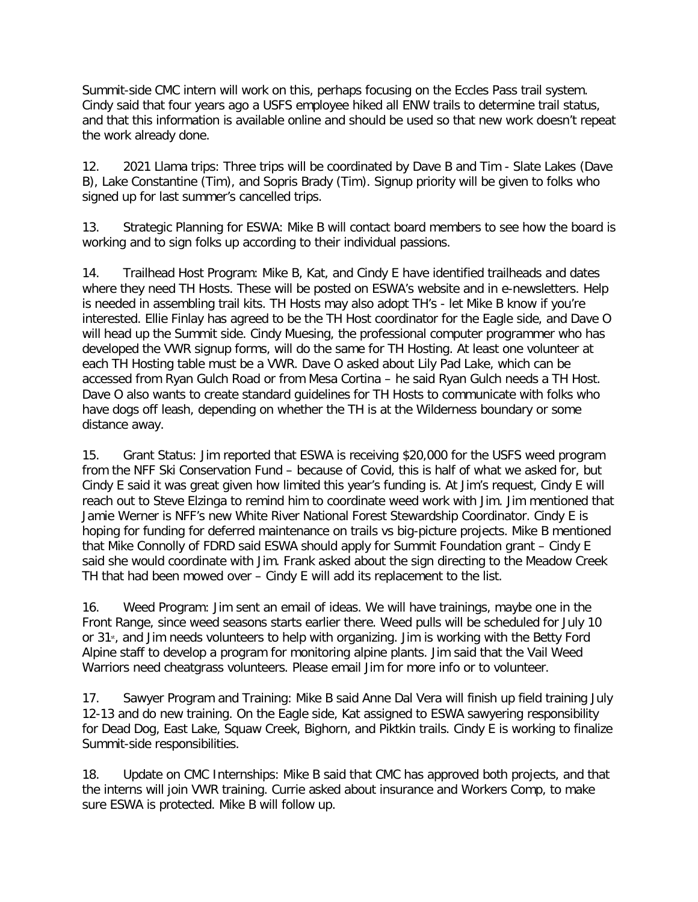Summit-side CMC intern will work on this, perhaps focusing on the Eccles Pass trail system. Cindy said that four years ago a USFS employee hiked all ENW trails to determine trail status, and that this information is available online and should be used so that new work doesn't repeat the work already done.

12. 2021 Llama trips: Three trips will be coordinated by Dave B and Tim - Slate Lakes (Dave B), Lake Constantine (Tim), and Sopris Brady (Tim). Signup priority will be given to folks who signed up for last summer's cancelled trips.

13. Strategic Planning for ESWA: Mike B will contact board members to see how the board is working and to sign folks up according to their individual passions.

14. Trailhead Host Program: Mike B, Kat, and Cindy E have identified trailheads and dates where they need TH Hosts. These will be posted on ESWA's website and in e-newsletters. Help is needed in assembling trail kits. TH Hosts may also adopt TH's - let Mike B know if you're interested. Ellie Finlay has agreed to be the TH Host coordinator for the Eagle side, and Dave O will head up the Summit side. Cindy Muesing, the professional computer programmer who has developed the VWR signup forms, will do the same for TH Hosting. At least one volunteer at each TH Hosting table must be a VWR. Dave O asked about Lily Pad Lake, which can be accessed from Ryan Gulch Road or from Mesa Cortina – he said Ryan Gulch needs a TH Host. Dave O also wants to create standard guidelines for TH Hosts to communicate with folks who have dogs off leash, depending on whether the TH is at the Wilderness boundary or some distance away.

15. Grant Status: Jim reported that ESWA is receiving \$20,000 for the USFS weed program from the NFF Ski Conservation Fund – because of Covid, this is half of what we asked for, but Cindy E said it was great given how limited this year's funding is. At Jim's request, Cindy E will reach out to Steve Elzinga to remind him to coordinate weed work with Jim. Jim mentioned that Jamie Werner is NFF's new White River National Forest Stewardship Coordinator. Cindy E is hoping for funding for deferred maintenance on trails vs big-picture projects. Mike B mentioned that Mike Connolly of FDRD said ESWA should apply for Summit Foundation grant – Cindy E said she would coordinate with Jim. Frank asked about the sign directing to the Meadow Creek TH that had been mowed over – Cindy E will add its replacement to the list.

16. Weed Program: Jim sent an email of ideas. We will have trainings, maybe one in the Front Range, since weed seasons starts earlier there. Weed pulls will be scheduled for July 10 or 31<sup>st</sup>, and Jim needs volunteers to help with organizing. Jim is working with the Betty Ford Alpine staff to develop a program for monitoring alpine plants. Jim said that the Vail Weed Warriors need cheatgrass volunteers. Please email Jim for more info or to volunteer.

17. Sawyer Program and Training: Mike B said Anne Dal Vera will finish up field training July 12-13 and do new training. On the Eagle side, Kat assigned to ESWA sawyering responsibility for Dead Dog, East Lake, Squaw Creek, Bighorn, and Piktkin trails. Cindy E is working to finalize Summit-side responsibilities.

18. Update on CMC Internships: Mike B said that CMC has approved both projects, and that the interns will join VWR training. Currie asked about insurance and Workers Comp, to make sure ESWA is protected. Mike B will follow up.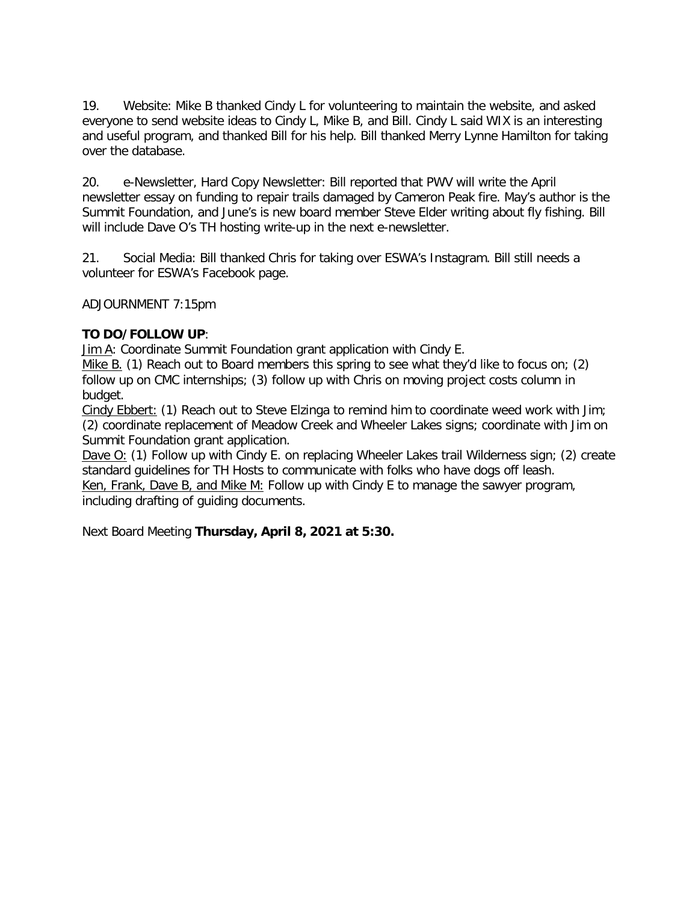19. Website: Mike B thanked Cindy L for volunteering to maintain the website, and asked everyone to send website ideas to Cindy L, Mike B, and Bill. Cindy L said WIX is an interesting and useful program, and thanked Bill for his help. Bill thanked Merry Lynne Hamilton for taking over the database.

20. e-Newsletter, Hard Copy Newsletter: Bill reported that PWV will write the April newsletter essay on funding to repair trails damaged by Cameron Peak fire. May's author is the Summit Foundation, and June's is new board member Steve Elder writing about fly fishing. Bill will include Dave O's TH hosting write-up in the next e-newsletter.

21. Social Media: Bill thanked Chris for taking over ESWA's Instagram. Bill still needs a volunteer for ESWA's Facebook page.

ADJOURNMENT 7:15pm

# **TO DO/FOLLOW UP**:

Jim A: Coordinate Summit Foundation grant application with Cindy E.

Mike B. (1) Reach out to Board members this spring to see what they'd like to focus on; (2) follow up on CMC internships; (3) follow up with Chris on moving project costs column in budget.

Cindy Ebbert: (1) Reach out to Steve Elzinga to remind him to coordinate weed work with Jim; (2) coordinate replacement of Meadow Creek and Wheeler Lakes signs; coordinate with Jim on Summit Foundation grant application.

Dave O: (1) Follow up with Cindy E. on replacing Wheeler Lakes trail Wilderness sign; (2) create standard guidelines for TH Hosts to communicate with folks who have dogs off leash. Ken, Frank, Dave B, and Mike M: Follow up with Cindy E to manage the sawyer program,

including drafting of guiding documents.

Next Board Meeting **Thursday, April 8, 2021 at 5:30.**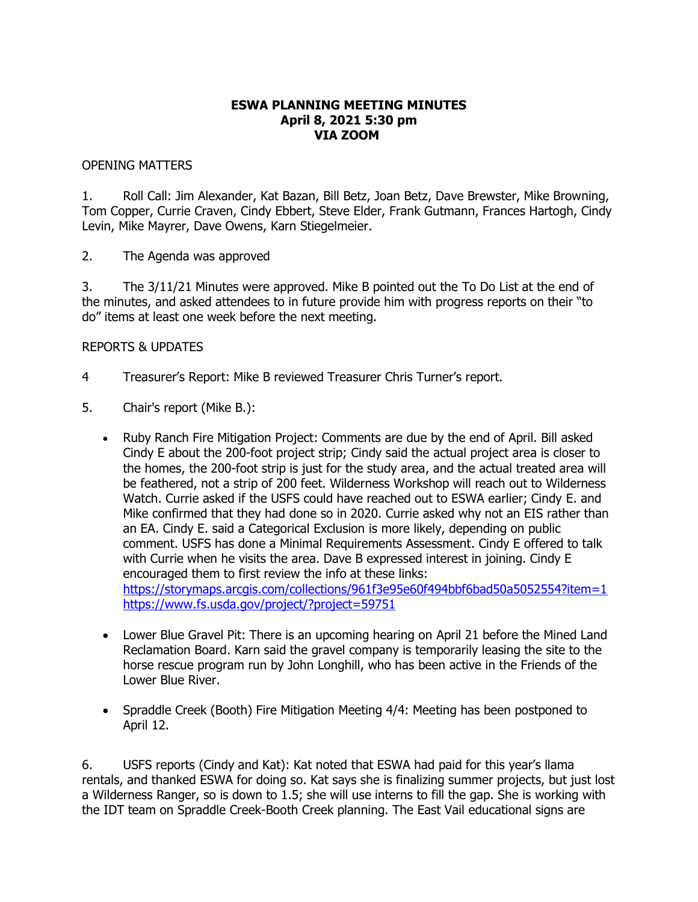# **ESWA PLANNING MEETING MINUTES April 8, 2021 5:30 pm VIA ZOOM**

## OPENING MATTERS

1. Roll Call: Jim Alexander, Kat Bazan, Bill Betz, Joan Betz, Dave Brewster, Mike Browning, Tom Copper, Currie Craven, Cindy Ebbert, Steve Elder, Frank Gutmann, Frances Hartogh, Cindy Levin, Mike Mayrer, Dave Owens, Karn Stiegelmeier.

2. The Agenda was approved

3. The 3/11/21 Minutes were approved. Mike B pointed out the To Do List at the end of the minutes, and asked attendees to in future provide him with progress reports on their "to do" items at least one week before the next meeting.

#### REPORTS & UPDATES

- 4 Treasurer's Report: Mike B reviewed Treasurer Chris Turner's report.
- 5. Chair's report (Mike B.):
	- Ruby Ranch Fire Mitigation Project: Comments are due by the end of April. Bill asked Cindy E about the 200-foot project strip; Cindy said the actual project area is closer to the homes, the 200-foot strip is just for the study area, and the actual treated area will be feathered, not a strip of 200 feet. Wilderness Workshop will reach out to Wilderness Watch. Currie asked if the USFS could have reached out to ESWA earlier; Cindy E. and Mike confirmed that they had done so in 2020. Currie asked why not an EIS rather than an EA. Cindy E. said a Categorical Exclusion is more likely, depending on public comment. USFS has done a Minimal Requirements Assessment. Cindy E offered to talk with Currie when he visits the area. Dave B expressed interest in joining. Cindy E encouraged them to first review the info at these links: <https://storymaps.arcgis.com/collections/961f3e95e60f494bbf6bad50a5052554?item=1> <https://www.fs.usda.gov/project/?project=59751>
	- Lower Blue Gravel Pit: There is an upcoming hearing on April 21 before the Mined Land Reclamation Board. Karn said the gravel company is temporarily leasing the site to the horse rescue program run by John Longhill, who has been active in the Friends of the Lower Blue River.
	- Spraddle Creek (Booth) Fire Mitigation Meeting 4/4: Meeting has been postponed to April 12.

6. USFS reports (Cindy and Kat): Kat noted that ESWA had paid for this year's llama rentals, and thanked ESWA for doing so. Kat says she is finalizing summer projects, but just lost a Wilderness Ranger, so is down to 1.5; she will use interns to fill the gap. She is working with the IDT team on Spraddle Creek-Booth Creek planning. The East Vail educational signs are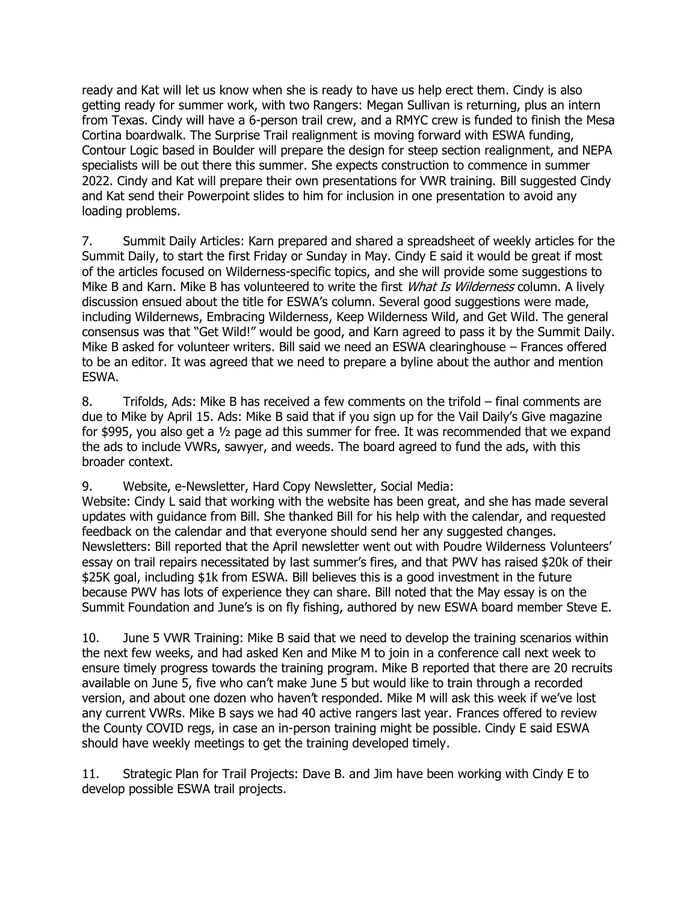ready and Kat will let us know when she is ready to have us help erect them. Cindy is also getting ready for summer work, with two Rangers: Megan Sullivan is returning, plus an intern from Texas. Cindy will have a 6-person trail crew, and a RMYC crew is funded to finish the Mesa Cortina boardwalk. The Surprise Trail realignment is moving forward with ESWA funding, Contour Logic based in Boulder will prepare the design for steep section realignment, and NEPA specialists will be out there this summer. She expects construction to commence in summer 2022. Cindy and Kat will prepare their own presentations for VWR training. Bill suggested Cindy and Kat send their Powerpoint slides to him for inclusion in one presentation to avoid any loading problems.

7. Summit Daily Articles: Karn prepared and shared a spreadsheet of weekly articles for the Summit Daily, to start the first Friday or Sunday in May. Cindy E said it would be great if most of the articles focused on Wilderness-specific topics, and she will provide some suggestions to Mike B and Karn. Mike B has volunteered to write the first *What Is Wilderness* column. A lively discussion ensued about the title for ESWA's column. Several good suggestions were made, including Wildernews, Embracing Wilderness, Keep Wilderness Wild, and Get Wild. The general consensus was that "Get Wild!" would be good, and Karn agreed to pass it by the Summit Daily. Mike B asked for volunteer writers. Bill said we need an ESWA clearinghouse – Frances offered to be an editor. It was agreed that we need to prepare a byline about the author and mention ESWA.

8. Trifolds, Ads: Mike B has received a few comments on the trifold – final comments are due to Mike by April 15. Ads: Mike B said that if you sign up for the Vail Daily's Give magazine for \$995, you also get a ½ page ad this summer for free. It was recommended that we expand the ads to include VWRs, sawyer, and weeds. The board agreed to fund the ads, with this broader context.

9. Website, e-Newsletter, Hard Copy Newsletter, Social Media:

Website: Cindy L said that working with the website has been great, and she has made several updates with guidance from Bill. She thanked Bill for his help with the calendar, and requested feedback on the calendar and that everyone should send her any suggested changes. Newsletters: Bill reported that the April newsletter went out with Poudre Wilderness Volunteers' essay on trail repairs necessitated by last summer's fires, and that PWV has raised \$20k of their \$25K goal, including \$1k from ESWA. Bill believes this is a good investment in the future because PWV has lots of experience they can share. Bill noted that the May essay is on the Summit Foundation and June's is on fly fishing, authored by new ESWA board member Steve E.

10. June 5 VWR Training: Mike B said that we need to develop the training scenarios within the next few weeks, and had asked Ken and Mike M to join in a conference call next week to ensure timely progress towards the training program. Mike B reported that there are 20 recruits available on June 5, five who can't make June 5 but would like to train through a recorded version, and about one dozen who haven't responded. Mike M will ask this week if we've lost any current VWRs. Mike B says we had 40 active rangers last year. Frances offered to review the County COVID regs, in case an in-person training might be possible. Cindy E said ESWA should have weekly meetings to get the training developed timely.

11. Strategic Plan for Trail Projects: Dave B. and Jim have been working with Cindy E to develop possible ESWA trail projects.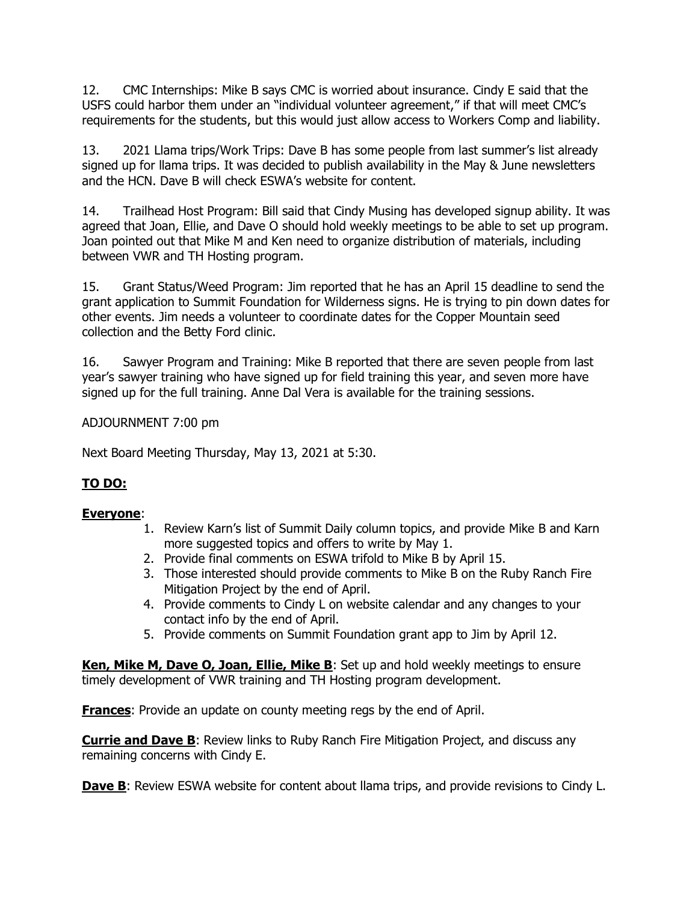12. CMC Internships: Mike B says CMC is worried about insurance. Cindy E said that the USFS could harbor them under an "individual volunteer agreement," if that will meet CMC's requirements for the students, but this would just allow access to Workers Comp and liability.

13. 2021 Llama trips/Work Trips: Dave B has some people from last summer's list already signed up for llama trips. It was decided to publish availability in the May & June newsletters and the HCN. Dave B will check ESWA's website for content.

14. Trailhead Host Program: Bill said that Cindy Musing has developed signup ability. It was agreed that Joan, Ellie, and Dave O should hold weekly meetings to be able to set up program. Joan pointed out that Mike M and Ken need to organize distribution of materials, including between VWR and TH Hosting program.

15. Grant Status/Weed Program: Jim reported that he has an April 15 deadline to send the grant application to Summit Foundation for Wilderness signs. He is trying to pin down dates for other events. Jim needs a volunteer to coordinate dates for the Copper Mountain seed collection and the Betty Ford clinic.

16. Sawyer Program and Training: Mike B reported that there are seven people from last year's sawyer training who have signed up for field training this year, and seven more have signed up for the full training. Anne Dal Vera is available for the training sessions.

ADJOURNMENT 7:00 pm

Next Board Meeting Thursday, May 13, 2021 at 5:30.

# **TO DO:**

# **Everyone**:

- 1. Review Karn's list of Summit Daily column topics, and provide Mike B and Karn more suggested topics and offers to write by May 1.
- 2. Provide final comments on ESWA trifold to Mike B by April 15.
- 3. Those interested should provide comments to Mike B on the Ruby Ranch Fire Mitigation Project by the end of April.
- 4. Provide comments to Cindy L on website calendar and any changes to your contact info by the end of April.
- 5. Provide comments on Summit Foundation grant app to Jim by April 12.

**Ken, Mike M, Dave O, Joan, Ellie, Mike B**: Set up and hold weekly meetings to ensure timely development of VWR training and TH Hosting program development.

**Frances**: Provide an update on county meeting regs by the end of April.

**Currie and Dave B**: Review links to Ruby Ranch Fire Mitigation Project, and discuss any remaining concerns with Cindy E.

**Dave B:** Review ESWA website for content about llama trips, and provide revisions to Cindy L.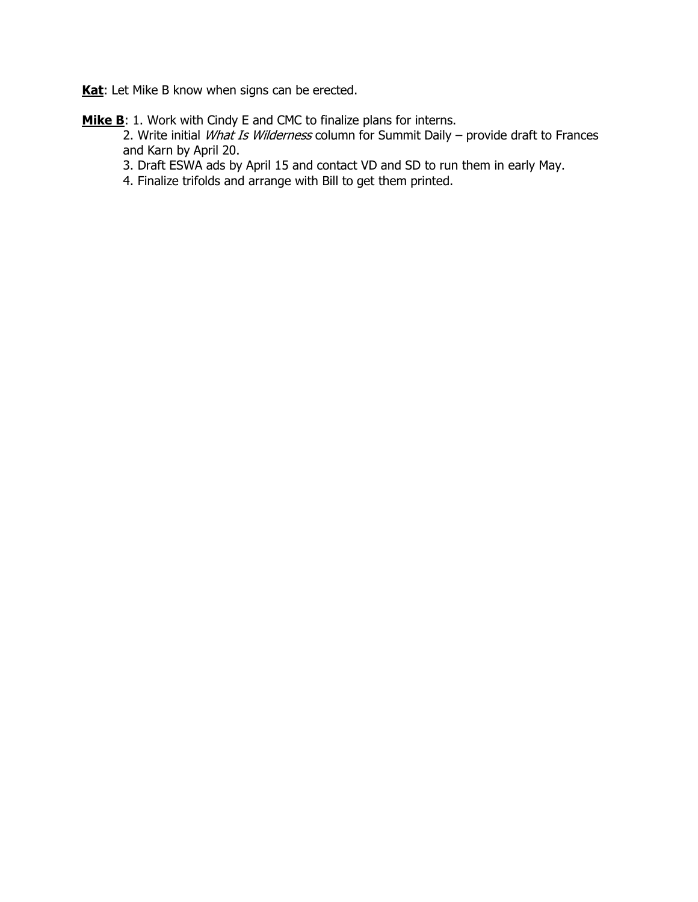Kat: Let Mike B know when signs can be erected.

Mike B: 1. Work with Cindy E and CMC to finalize plans for interns.

2. Write initial *What Is Wilderness* column for Summit Daily – provide draft to Frances and Karn by April 20.

3. Draft ESWA ads by April 15 and contact VD and SD to run them in early May.

4. Finalize trifolds and arrange with Bill to get them printed.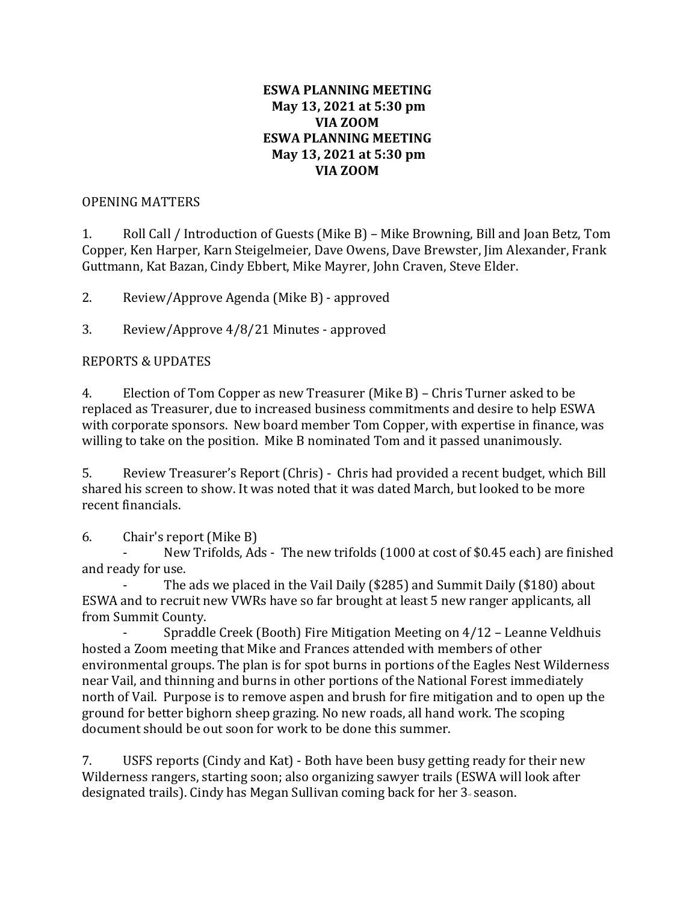# **ESWA PLANNING MEETING May 13, 2021 at 5:30 pm VIA ZOOM ESWA PLANNING MEETING May 13, 2021 at 5:30 pm VIA ZOOM**

# OPENING MATTERS

1. Roll Call / Introduction of Guests (Mike B) – Mike Browning, Bill and Joan Betz, Tom Copper, Ken Harper, Karn Steigelmeier, Dave Owens, Dave Brewster, Jim Alexander, Frank Guttmann, Kat Bazan, Cindy Ebbert, Mike Mayrer, John Craven, Steve Elder.

2. Review/Approve Agenda (Mike B) - approved

3. Review/Approve 4/8/21 Minutes - approved

# REPORTS & UPDATES

4. Election of Tom Copper as new Treasurer (Mike B) – Chris Turner asked to be replaced as Treasurer, due to increased business commitments and desire to help ESWA with corporate sponsors. New board member Tom Copper, with expertise in finance, was willing to take on the position. Mike B nominated Tom and it passed unanimously.

5. Review Treasurer's Report (Chris) - Chris had provided a recent budget, which Bill shared his screen to show. It was noted that it was dated March, but looked to be more recent financials.

6. Chair's report (Mike B)

New Trifolds, Ads - The new trifolds (1000 at cost of \$0.45 each) are finished and ready for use.

The ads we placed in the Vail Daily (\$285) and Summit Daily (\$180) about ESWA and to recruit new VWRs have so far brought at least 5 new ranger applicants, all from Summit County.

Spraddle Creek (Booth) Fire Mitigation Meeting on 4/12 - Leanne Veldhuis hosted a Zoom meeting that Mike and Frances attended with members of other environmental groups. The plan is for spot burns in portions of the Eagles Nest Wilderness near Vail, and thinning and burns in other portions of the National Forest immediately north of Vail. Purpose is to remove aspen and brush for fire mitigation and to open up the ground for better bighorn sheep grazing. No new roads, all hand work. The scoping document should be out soon for work to be done this summer.

7. USFS reports (Cindy and Kat) - Both have been busy getting ready for their new Wilderness rangers, starting soon; also organizing sawyer trails (ESWA will look after designated trails). Cindy has Megan Sullivan coming back for her 3-season.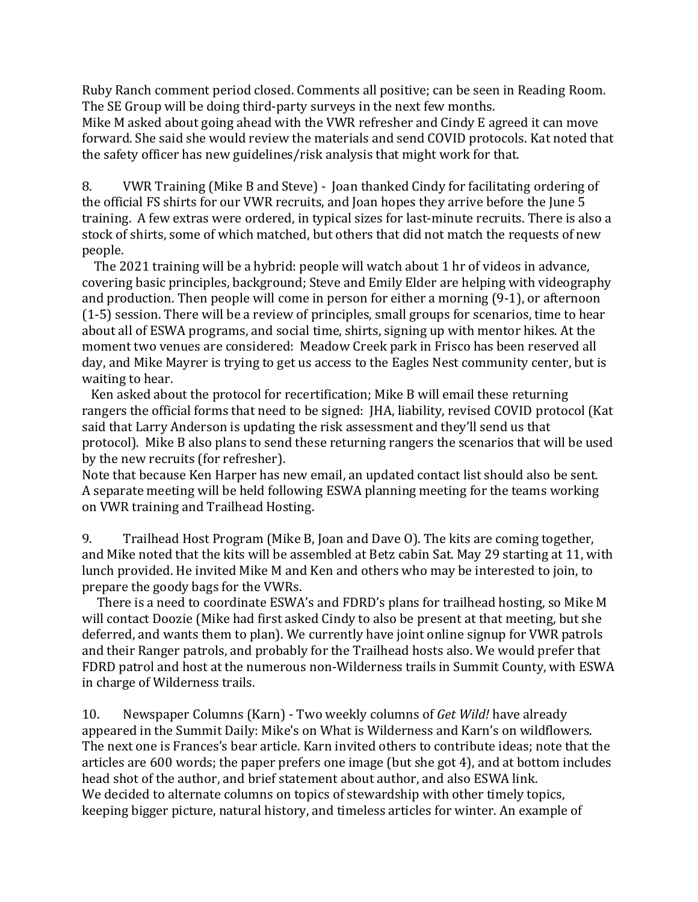Ruby Ranch comment period closed. Comments all positive; can be seen in Reading Room. The SE Group will be doing third-party surveys in the next few months.

Mike M asked about going ahead with the VWR refresher and Cindy E agreed it can move forward. She said she would review the materials and send COVID protocols. Kat noted that the safety officer has new guidelines/risk analysis that might work for that.

8. VWR Training (Mike B and Steve) - Joan thanked Cindy for facilitating ordering of the official FS shirts for our VWR recruits, and Joan hopes they arrive before the June 5 training. A few extras were ordered, in typical sizes for last-minute recruits. There is also a stock of shirts, some of which matched, but others that did not match the requests of new people.

 The 2021 training will be a hybrid: people will watch about 1 hr of videos in advance, covering basic principles, background; Steve and Emily Elder are helping with videography and production. Then people will come in person for either a morning (9-1), or afternoon (1-5) session. There will be a review of principles, small groups for scenarios, time to hear about all of ESWA programs, and social time, shirts, signing up with mentor hikes. At the moment two venues are considered: Meadow Creek park in Frisco has been reserved all day, and Mike Mayrer is trying to get us access to the Eagles Nest community center, but is waiting to hear.

 Ken asked about the protocol for recertification; Mike B will email these returning rangers the official forms that need to be signed: JHA, liability, revised COVID protocol (Kat said that Larry Anderson is updating the risk assessment and they'll send us that protocol). Mike B also plans to send these returning rangers the scenarios that will be used by the new recruits (for refresher).

Note that because Ken Harper has new email, an updated contact list should also be sent. A separate meeting will be held following ESWA planning meeting for the teams working on VWR training and Trailhead Hosting.

9. Trailhead Host Program (Mike B, Joan and Dave O). The kits are coming together, and Mike noted that the kits will be assembled at Betz cabin Sat. May 29 starting at 11, with lunch provided. He invited Mike M and Ken and others who may be interested to join, to prepare the goody bags for the VWRs.

 There is a need to coordinate ESWA's and FDRD's plans for trailhead hosting, so Mike M will contact Doozie (Mike had first asked Cindy to also be present at that meeting, but she deferred, and wants them to plan). We currently have joint online signup for VWR patrols and their Ranger patrols, and probably for the Trailhead hosts also. We would prefer that FDRD patrol and host at the numerous non-Wilderness trails in Summit County, with ESWA in charge of Wilderness trails.

10. Newspaper Columns (Karn) - Two weekly columns of *Get Wild!* have already appeared in the Summit Daily: Mike's on What is Wilderness and Karn's on wildflowers. The next one is Frances's bear article. Karn invited others to contribute ideas; note that the articles are 600 words; the paper prefers one image (but she got 4), and at bottom includes head shot of the author, and brief statement about author, and also ESWA link. We decided to alternate columns on topics of stewardship with other timely topics, keeping bigger picture, natural history, and timeless articles for winter. An example of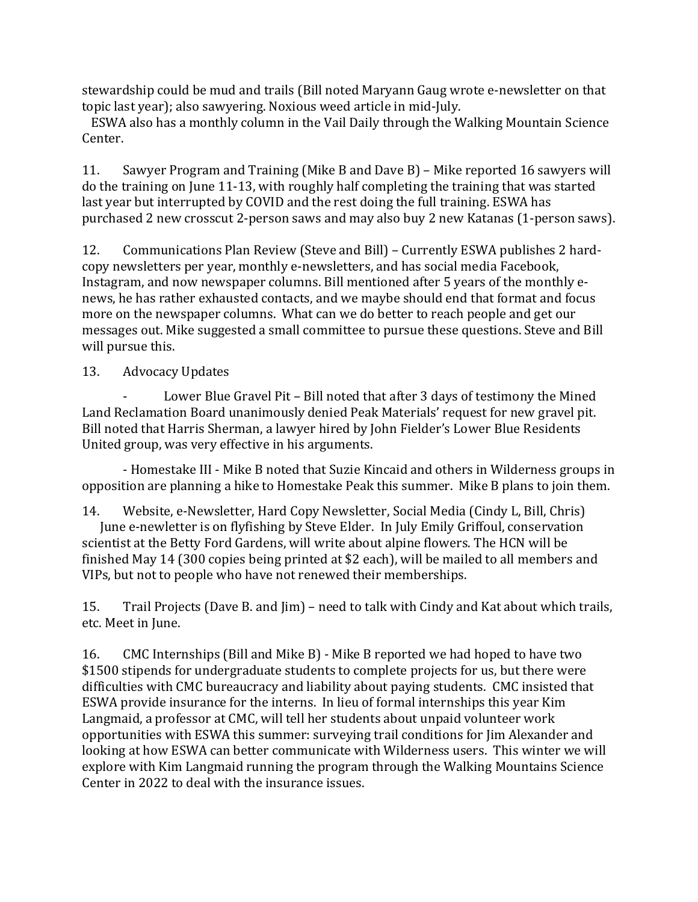stewardship could be mud and trails (Bill noted Maryann Gaug wrote e-newsletter on that topic last year); also sawyering. Noxious weed article in mid-July.

 ESWA also has a monthly column in the Vail Daily through the Walking Mountain Science Center.

11. Sawyer Program and Training (Mike B and Dave B) – Mike reported 16 sawyers will do the training on June 11-13, with roughly half completing the training that was started last year but interrupted by COVID and the rest doing the full training. ESWA has purchased 2 new crosscut 2-person saws and may also buy 2 new Katanas (1-person saws).

12. Communications Plan Review (Steve and Bill) – Currently ESWA publishes 2 hardcopy newsletters per year, monthly e-newsletters, and has social media Facebook, Instagram, and now newspaper columns. Bill mentioned after 5 years of the monthly enews, he has rather exhausted contacts, and we maybe should end that format and focus more on the newspaper columns. What can we do better to reach people and get our messages out. Mike suggested a small committee to pursue these questions. Steve and Bill will pursue this.

# 13. Advocacy Updates

Lower Blue Gravel Pit - Bill noted that after 3 days of testimony the Mined Land Reclamation Board unanimously denied Peak Materials' request for new gravel pit. Bill noted that Harris Sherman, a lawyer hired by John Fielder's Lower Blue Residents United group, was very effective in his arguments.

- Homestake III - Mike B noted that Suzie Kincaid and others in Wilderness groups in opposition are planning a hike to Homestake Peak this summer. Mike B plans to join them.

14. Website, e-Newsletter, Hard Copy Newsletter, Social Media (Cindy L, Bill, Chris) June e-newletter is on flyfishing by Steve Elder. In July Emily Griffoul, conservation scientist at the Betty Ford Gardens, will write about alpine flowers. The HCN will be finished May 14 (300 copies being printed at \$2 each), will be mailed to all members and VIPs, but not to people who have not renewed their memberships.

15. Trail Projects (Dave B. and Jim) – need to talk with Cindy and Kat about which trails, etc. Meet in June.

16. CMC Internships (Bill and Mike B) - Mike B reported we had hoped to have two \$1500 stipends for undergraduate students to complete projects for us, but there were difficulties with CMC bureaucracy and liability about paying students. CMC insisted that ESWA provide insurance for the interns. In lieu of formal internships this year Kim Langmaid, a professor at CMC, will tell her students about unpaid volunteer work opportunities with ESWA this summer: surveying trail conditions for Jim Alexander and looking at how ESWA can better communicate with Wilderness users. This winter we will explore with Kim Langmaid running the program through the Walking Mountains Science Center in 2022 to deal with the insurance issues.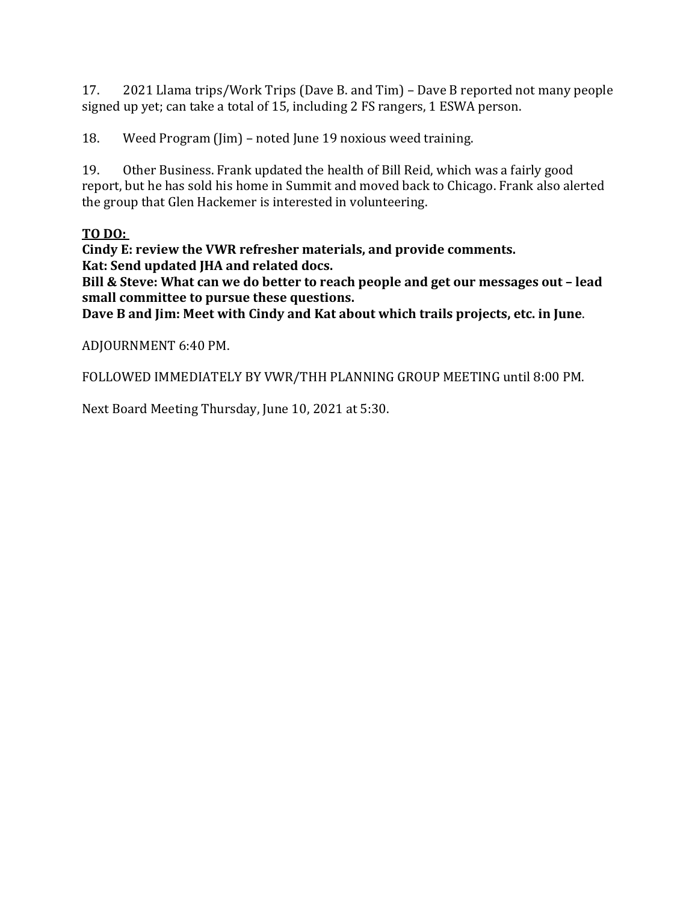17. 2021 Llama trips/Work Trips (Dave B. and Tim) – Dave B reported not many people signed up yet; can take a total of 15, including 2 FS rangers, 1 ESWA person.

18. Weed Program (Jim) – noted June 19 noxious weed training.

19. Other Business. Frank updated the health of Bill Reid, which was a fairly good report, but he has sold his home in Summit and moved back to Chicago. Frank also alerted the group that Glen Hackemer is interested in volunteering.

# **TO DO:**

**Cindy E: review the VWR refresher materials, and provide comments. Kat: Send updated JHA and related docs.**

**Bill & Steve: What can we do better to reach people and get our messages out – lead small committee to pursue these questions.**

**Dave B and Jim: Meet with Cindy and Kat about which trails projects, etc. in June**.

ADJOURNMENT 6:40 PM.

FOLLOWED IMMEDIATELY BY VWR/THH PLANNING GROUP MEETING until 8:00 PM.

Next Board Meeting Thursday, June 10, 2021 at 5:30.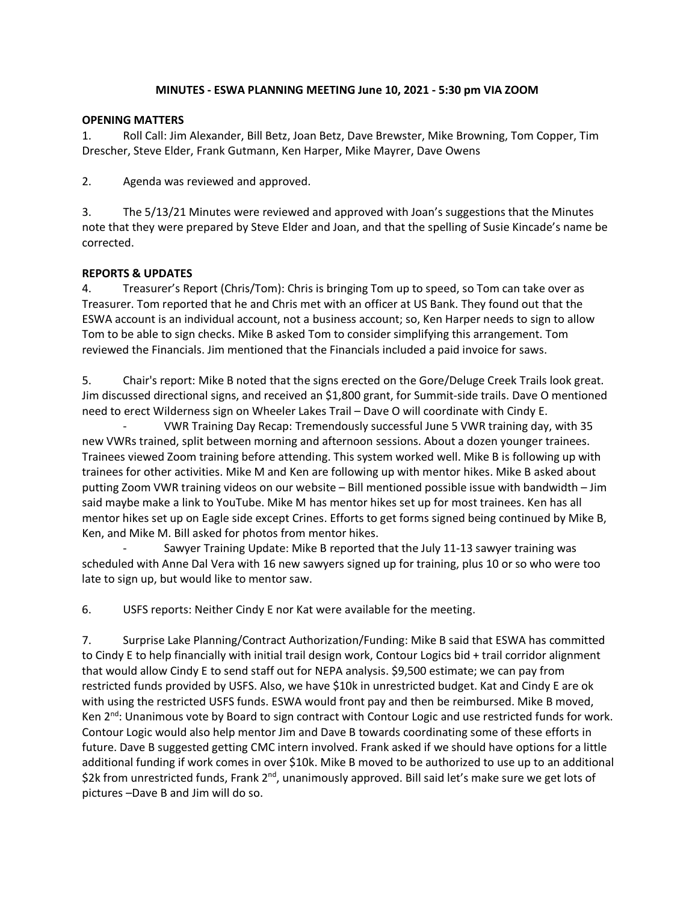#### **MINUTES - ESWA PLANNING MEETING June 10, 2021 - 5:30 pm VIA ZOOM**

#### **OPENING MATTERS**

1. Roll Call: Jim Alexander, Bill Betz, Joan Betz, Dave Brewster, Mike Browning, Tom Copper, Tim Drescher, Steve Elder, Frank Gutmann, Ken Harper, Mike Mayrer, Dave Owens

2. Agenda was reviewed and approved.

3. The 5/13/21 Minutes were reviewed and approved with Joan's suggestions that the Minutes note that they were prepared by Steve Elder and Joan, and that the spelling of Susie Kincade's name be corrected.

#### **REPORTS & UPDATES**

4. Treasurer's Report (Chris/Tom): Chris is bringing Tom up to speed, so Tom can take over as Treasurer. Tom reported that he and Chris met with an officer at US Bank. They found out that the ESWA account is an individual account, not a business account; so, Ken Harper needs to sign to allow Tom to be able to sign checks. Mike B asked Tom to consider simplifying this arrangement. Tom reviewed the Financials. Jim mentioned that the Financials included a paid invoice for saws.

5. Chair's report: Mike B noted that the signs erected on the Gore/Deluge Creek Trails look great. Jim discussed directional signs, and received an \$1,800 grant, for Summit-side trails. Dave O mentioned need to erect Wilderness sign on Wheeler Lakes Trail – Dave O will coordinate with Cindy E.

- VWR Training Day Recap: Tremendously successful June 5 VWR training day, with 35 new VWRs trained, split between morning and afternoon sessions. About a dozen younger trainees. Trainees viewed Zoom training before attending. This system worked well. Mike B is following up with trainees for other activities. Mike M and Ken are following up with mentor hikes. Mike B asked about putting Zoom VWR training videos on our website – Bill mentioned possible issue with bandwidth – Jim said maybe make a link to YouTube. Mike M has mentor hikes set up for most trainees. Ken has all mentor hikes set up on Eagle side except Crines. Efforts to get forms signed being continued by Mike B, Ken, and Mike M. Bill asked for photos from mentor hikes.

- Sawyer Training Update: Mike B reported that the July 11-13 sawyer training was scheduled with Anne Dal Vera with 16 new sawyers signed up for training, plus 10 or so who were too late to sign up, but would like to mentor saw.

6. USFS reports: Neither Cindy E nor Kat were available for the meeting.

7. Surprise Lake Planning/Contract Authorization/Funding: Mike B said that ESWA has committed to Cindy E to help financially with initial trail design work, Contour Logics bid + trail corridor alignment that would allow Cindy E to send staff out for NEPA analysis. \$9,500 estimate; we can pay from restricted funds provided by USFS. Also, we have \$10k in unrestricted budget. Kat and Cindy E are ok with using the restricted USFS funds. ESWA would front pay and then be reimbursed. Mike B moved, Ken 2<sup>nd</sup>: Unanimous vote by Board to sign contract with Contour Logic and use restricted funds for work. Contour Logic would also help mentor Jim and Dave B towards coordinating some of these efforts in future. Dave B suggested getting CMC intern involved. Frank asked if we should have options for a little additional funding if work comes in over \$10k. Mike B moved to be authorized to use up to an additional \$2k from unrestricted funds, Frank 2<sup>nd</sup>, unanimously approved. Bill said let's make sure we get lots of pictures –Dave B and Jim will do so.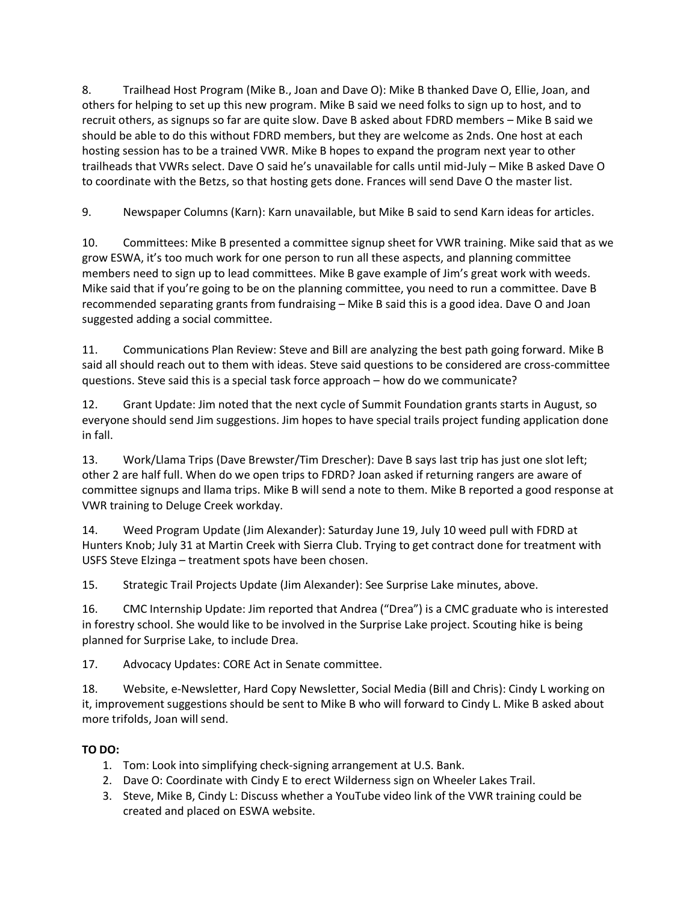8. Trailhead Host Program (Mike B., Joan and Dave O): Mike B thanked Dave O, Ellie, Joan, and others for helping to set up this new program. Mike B said we need folks to sign up to host, and to recruit others, as signups so far are quite slow. Dave B asked about FDRD members – Mike B said we should be able to do this without FDRD members, but they are welcome as 2nds. One host at each hosting session has to be a trained VWR. Mike B hopes to expand the program next year to other trailheads that VWRs select. Dave O said he's unavailable for calls until mid-July – Mike B asked Dave O to coordinate with the Betzs, so that hosting gets done. Frances will send Dave O the master list.

9. Newspaper Columns (Karn): Karn unavailable, but Mike B said to send Karn ideas for articles.

10. Committees: Mike B presented a committee signup sheet for VWR training. Mike said that as we grow ESWA, it's too much work for one person to run all these aspects, and planning committee members need to sign up to lead committees. Mike B gave example of Jim's great work with weeds. Mike said that if you're going to be on the planning committee, you need to run a committee. Dave B recommended separating grants from fundraising – Mike B said this is a good idea. Dave O and Joan suggested adding a social committee.

11. Communications Plan Review: Steve and Bill are analyzing the best path going forward. Mike B said all should reach out to them with ideas. Steve said questions to be considered are cross-committee questions. Steve said this is a special task force approach – how do we communicate?

12. Grant Update: Jim noted that the next cycle of Summit Foundation grants starts in August, so everyone should send Jim suggestions. Jim hopes to have special trails project funding application done in fall.

13. Work/Llama Trips (Dave Brewster/Tim Drescher): Dave B says last trip has just one slot left; other 2 are half full. When do we open trips to FDRD? Joan asked if returning rangers are aware of committee signups and llama trips. Mike B will send a note to them. Mike B reported a good response at VWR training to Deluge Creek workday.

14. Weed Program Update (Jim Alexander): Saturday June 19, July 10 weed pull with FDRD at Hunters Knob; July 31 at Martin Creek with Sierra Club. Trying to get contract done for treatment with USFS Steve Elzinga – treatment spots have been chosen.

15. Strategic Trail Projects Update (Jim Alexander): See Surprise Lake minutes, above.

16. CMC Internship Update: Jim reported that Andrea ("Drea") is a CMC graduate who is interested in forestry school. She would like to be involved in the Surprise Lake project. Scouting hike is being planned for Surprise Lake, to include Drea.

17. Advocacy Updates: CORE Act in Senate committee.

18. Website, e-Newsletter, Hard Copy Newsletter, Social Media (Bill and Chris): Cindy L working on it, improvement suggestions should be sent to Mike B who will forward to Cindy L. Mike B asked about more trifolds, Joan will send.

# **TO DO:**

- 1. Tom: Look into simplifying check-signing arrangement at U.S. Bank.
- 2. Dave O: Coordinate with Cindy E to erect Wilderness sign on Wheeler Lakes Trail.
- 3. Steve, Mike B, Cindy L: Discuss whether a YouTube video link of the VWR training could be created and placed on ESWA website.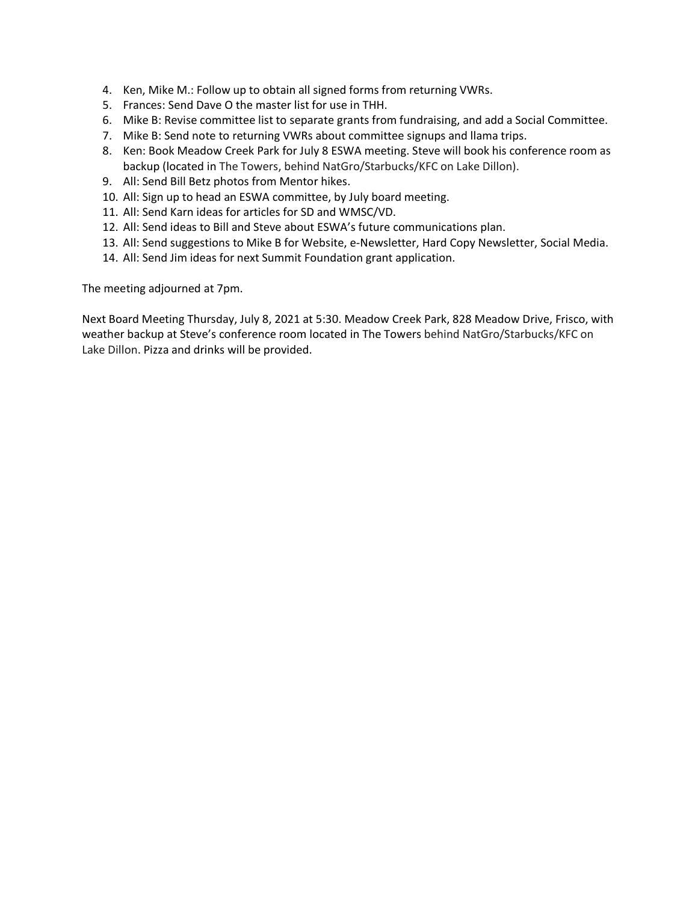- 4. Ken, Mike M.: Follow up to obtain all signed forms from returning VWRs.
- 5. Frances: Send Dave O the master list for use in THH.
- 6. Mike B: Revise committee list to separate grants from fundraising, and add a Social Committee.
- 7. Mike B: Send note to returning VWRs about committee signups and llama trips.
- 8. Ken: Book Meadow Creek Park for July 8 ESWA meeting. Steve will book his conference room as backup (located in The Towers, behind NatGro/Starbucks/KFC on Lake Dillon).
- 9. All: Send Bill Betz photos from Mentor hikes.
- 10. All: Sign up to head an ESWA committee, by July board meeting.
- 11. All: Send Karn ideas for articles for SD and WMSC/VD.
- 12. All: Send ideas to Bill and Steve about ESWA's future communications plan.
- 13. All: Send suggestions to Mike B for Website, e-Newsletter, Hard Copy Newsletter, Social Media.
- 14. All: Send Jim ideas for next Summit Foundation grant application.

The meeting adjourned at 7pm.

Next Board Meeting Thursday, July 8, 2021 at 5:30. Meadow Creek Park, 828 Meadow Drive, Frisco, with weather backup at Steve's conference room located in The Towers behind NatGro/Starbucks/KFC on Lake Dillon. Pizza and drinks will be provided.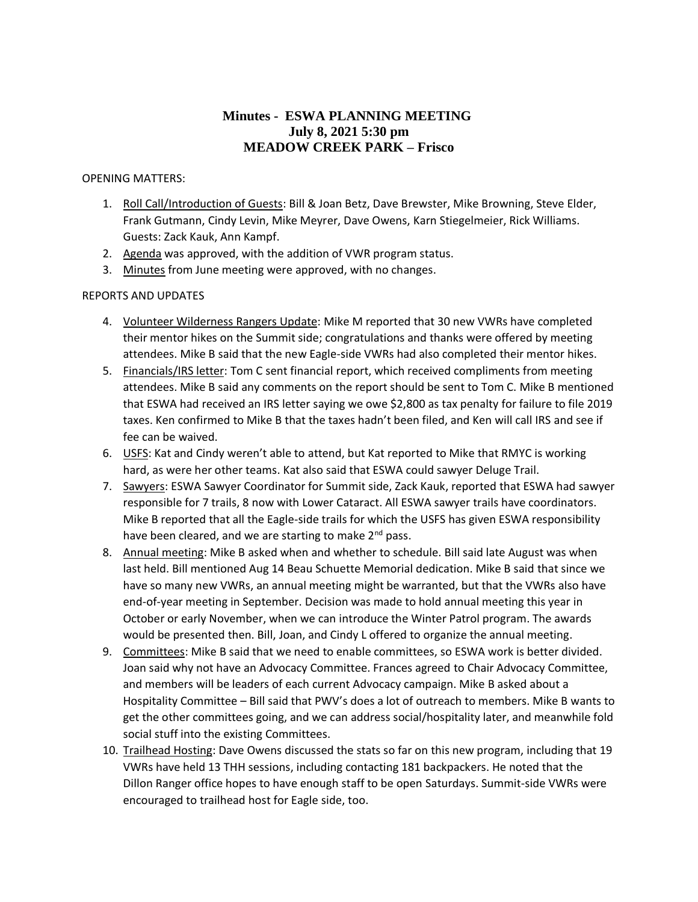# **Minutes - ESWA PLANNING MEETING July 8, 2021 5:30 pm MEADOW CREEK PARK – Frisco**

#### OPENING MATTERS:

- 1. Roll Call/Introduction of Guests: Bill & Joan Betz, Dave Brewster, Mike Browning, Steve Elder, Frank Gutmann, Cindy Levin, Mike Meyrer, Dave Owens, Karn Stiegelmeier, Rick Williams. Guests: Zack Kauk, Ann Kampf.
- 2. Agenda was approved, with the addition of VWR program status.
- 3. Minutes from June meeting were approved, with no changes.

#### REPORTS AND UPDATES

- 4. Volunteer Wilderness Rangers Update: Mike M reported that 30 new VWRs have completed their mentor hikes on the Summit side; congratulations and thanks were offered by meeting attendees. Mike B said that the new Eagle-side VWRs had also completed their mentor hikes.
- 5. Financials/IRS letter: Tom C sent financial report, which received compliments from meeting attendees. Mike B said any comments on the report should be sent to Tom C. Mike B mentioned that ESWA had received an IRS letter saying we owe \$2,800 as tax penalty for failure to file 2019 taxes. Ken confirmed to Mike B that the taxes hadn't been filed, and Ken will call IRS and see if fee can be waived.
- 6. USFS: Kat and Cindy weren't able to attend, but Kat reported to Mike that RMYC is working hard, as were her other teams. Kat also said that ESWA could sawyer Deluge Trail.
- 7. Sawyers: ESWA Sawyer Coordinator for Summit side, Zack Kauk, reported that ESWA had sawyer responsible for 7 trails, 8 now with Lower Cataract. All ESWA sawyer trails have coordinators. Mike B reported that all the Eagle-side trails for which the USFS has given ESWA responsibility have been cleared, and we are starting to make 2<sup>nd</sup> pass.
- 8. Annual meeting: Mike B asked when and whether to schedule. Bill said late August was when last held. Bill mentioned Aug 14 Beau Schuette Memorial dedication. Mike B said that since we have so many new VWRs, an annual meeting might be warranted, but that the VWRs also have end-of-year meeting in September. Decision was made to hold annual meeting this year in October or early November, when we can introduce the Winter Patrol program. The awards would be presented then. Bill, Joan, and Cindy L offered to organize the annual meeting.
- 9. Committees: Mike B said that we need to enable committees, so ESWA work is better divided. Joan said why not have an Advocacy Committee. Frances agreed to Chair Advocacy Committee, and members will be leaders of each current Advocacy campaign. Mike B asked about a Hospitality Committee – Bill said that PWV's does a lot of outreach to members. Mike B wants to get the other committees going, and we can address social/hospitality later, and meanwhile fold social stuff into the existing Committees.
- 10. Trailhead Hosting: Dave Owens discussed the stats so far on this new program, including that 19 VWRs have held 13 THH sessions, including contacting 181 backpackers. He noted that the Dillon Ranger office hopes to have enough staff to be open Saturdays. Summit-side VWRs were encouraged to trailhead host for Eagle side, too.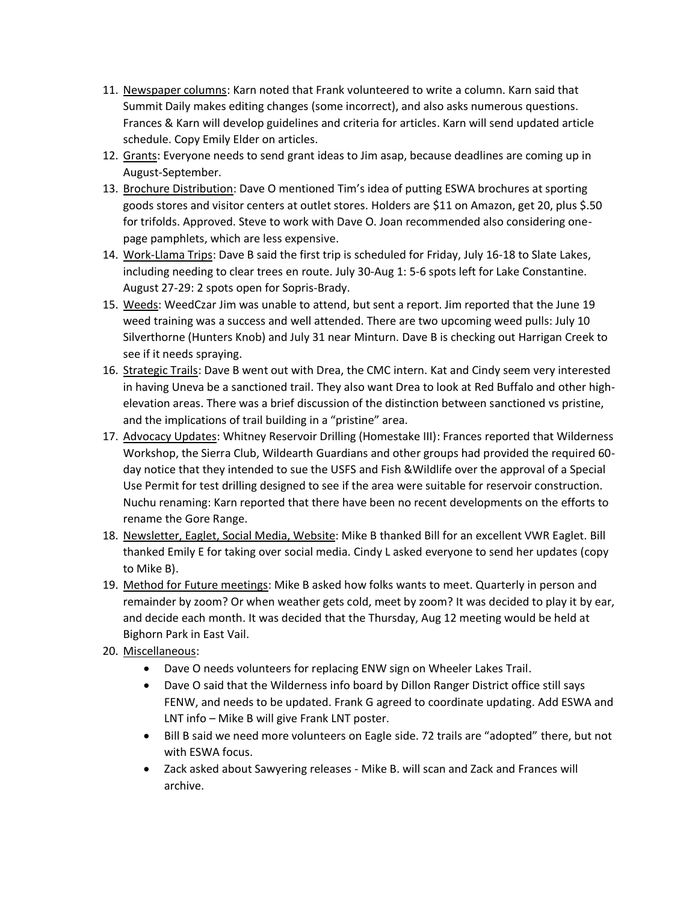- 11. Newspaper columns: Karn noted that Frank volunteered to write a column. Karn said that Summit Daily makes editing changes (some incorrect), and also asks numerous questions. Frances & Karn will develop guidelines and criteria for articles. Karn will send updated article schedule. Copy Emily Elder on articles.
- 12. Grants: Everyone needs to send grant ideas to Jim asap, because deadlines are coming up in August-September.
- 13. Brochure Distribution: Dave O mentioned Tim's idea of putting ESWA brochures at sporting goods stores and visitor centers at outlet stores. Holders are \$11 on Amazon, get 20, plus \$.50 for trifolds. Approved. Steve to work with Dave O. Joan recommended also considering onepage pamphlets, which are less expensive.
- 14. Work-Llama Trips: Dave B said the first trip is scheduled for Friday, July 16-18 to Slate Lakes, including needing to clear trees en route. July 30-Aug 1: 5-6 spots left for Lake Constantine. August 27-29: 2 spots open for Sopris-Brady.
- 15. Weeds: WeedCzar Jim was unable to attend, but sent a report. Jim reported that the June 19 weed training was a success and well attended. There are two upcoming weed pulls: July 10 Silverthorne (Hunters Knob) and July 31 near Minturn. Dave B is checking out Harrigan Creek to see if it needs spraying.
- 16. Strategic Trails: Dave B went out with Drea, the CMC intern. Kat and Cindy seem very interested in having Uneva be a sanctioned trail. They also want Drea to look at Red Buffalo and other highelevation areas. There was a brief discussion of the distinction between sanctioned vs pristine, and the implications of trail building in a "pristine" area.
- 17. Advocacy Updates: Whitney Reservoir Drilling (Homestake III): Frances reported that Wilderness Workshop, the Sierra Club, Wildearth Guardians and other groups had provided the required 60 day notice that they intended to sue the USFS and Fish &Wildlife over the approval of a Special Use Permit for test drilling designed to see if the area were suitable for reservoir construction. Nuchu renaming: Karn reported that there have been no recent developments on the efforts to rename the Gore Range.
- 18. Newsletter, Eaglet, Social Media, Website: Mike B thanked Bill for an excellent VWR Eaglet. Bill thanked Emily E for taking over social media. Cindy L asked everyone to send her updates (copy to Mike B).
- 19. Method for Future meetings: Mike B asked how folks wants to meet. Quarterly in person and remainder by zoom? Or when weather gets cold, meet by zoom? It was decided to play it by ear, and decide each month. It was decided that the Thursday, Aug 12 meeting would be held at Bighorn Park in East Vail.
- 20. Miscellaneous:
	- Dave O needs volunteers for replacing ENW sign on Wheeler Lakes Trail.
	- Dave O said that the Wilderness info board by Dillon Ranger District office still says FENW, and needs to be updated. Frank G agreed to coordinate updating. Add ESWA and LNT info – Mike B will give Frank LNT poster.
	- Bill B said we need more volunteers on Eagle side. 72 trails are "adopted" there, but not with ESWA focus.
	- Zack asked about Sawyering releases Mike B. will scan and Zack and Frances will archive.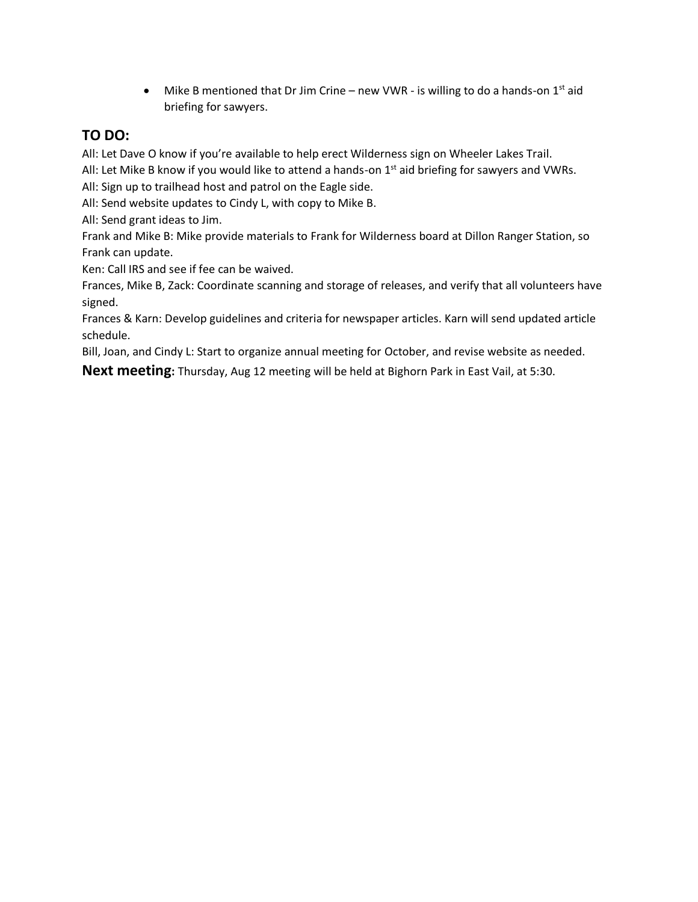• Mike B mentioned that Dr Jim Crine – new VWR - is willing to do a hands-on  $1^{st}$  aid briefing for sawyers.

# **TO DO:**

All: Let Dave O know if you're available to help erect Wilderness sign on Wheeler Lakes Trail.

All: Let Mike B know if you would like to attend a hands-on  $1<sup>st</sup>$  aid briefing for sawyers and VWRs. All: Sign up to trailhead host and patrol on the Eagle side.

All: Send website updates to Cindy L, with copy to Mike B.

All: Send grant ideas to Jim.

Frank and Mike B: Mike provide materials to Frank for Wilderness board at Dillon Ranger Station, so Frank can update.

Ken: Call IRS and see if fee can be waived.

Frances, Mike B, Zack: Coordinate scanning and storage of releases, and verify that all volunteers have signed.

Frances & Karn: Develop guidelines and criteria for newspaper articles. Karn will send updated article schedule.

Bill, Joan, and Cindy L: Start to organize annual meeting for October, and revise website as needed.

**Next meeting:** Thursday, Aug 12 meeting will be held at Bighorn Park in East Vail, at 5:30.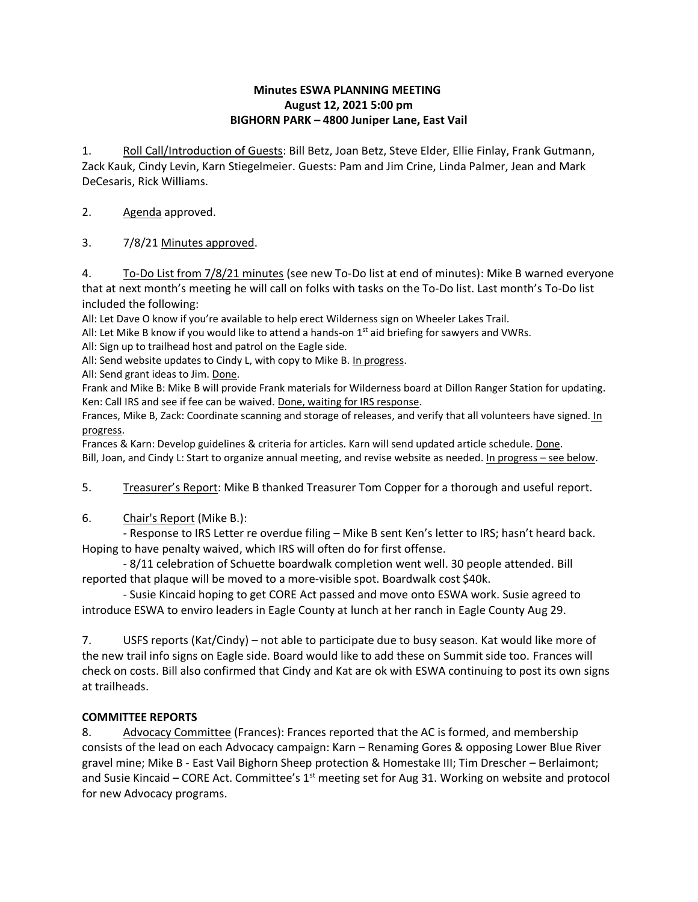#### **Minutes ESWA PLANNING MEETING August 12, 2021 5:00 pm BIGHORN PARK – 4800 Juniper Lane, East Vail**

1. Roll Call/Introduction of Guests: Bill Betz, Joan Betz, Steve Elder, Ellie Finlay, Frank Gutmann, Zack Kauk, Cindy Levin, Karn Stiegelmeier. Guests: Pam and Jim Crine, Linda Palmer, Jean and Mark DeCesaris, Rick Williams.

## 2. Agenda approved.

3. 7/8/21 Minutes approved.

4. To-Do List from 7/8/21 minutes (see new To-Do list at end of minutes): Mike B warned everyone that at next month's meeting he will call on folks with tasks on the To-Do list. Last month's To-Do list included the following:

All: Let Dave O know if you're available to help erect Wilderness sign on Wheeler Lakes Trail.

All: Let Mike B know if you would like to attend a hands-on  $1<sup>st</sup>$  aid briefing for sawyers and VWRs.

All: Sign up to trailhead host and patrol on the Eagle side.

All: Send website updates to Cindy L, with copy to Mike B. In progress.

All: Send grant ideas to Jim. Done.

Frank and Mike B: Mike B will provide Frank materials for Wilderness board at Dillon Ranger Station for updating. Ken: Call IRS and see if fee can be waived. Done, waiting for IRS response.

Frances, Mike B, Zack: Coordinate scanning and storage of releases, and verify that all volunteers have signed. In progress.

Frances & Karn: Develop guidelines & criteria for articles. Karn will send updated article schedule. Done. Bill, Joan, and Cindy L: Start to organize annual meeting, and revise website as needed. In progress - see below.

5. Treasurer's Report: Mike B thanked Treasurer Tom Copper for a thorough and useful report.

6. Chair's Report (Mike B.):

- Response to IRS Letter re overdue filing – Mike B sent Ken's letter to IRS; hasn't heard back. Hoping to have penalty waived, which IRS will often do for first offense.

- 8/11 celebration of Schuette boardwalk completion went well. 30 people attended. Bill reported that plaque will be moved to a more-visible spot. Boardwalk cost \$40k.

- Susie Kincaid hoping to get CORE Act passed and move onto ESWA work. Susie agreed to introduce ESWA to enviro leaders in Eagle County at lunch at her ranch in Eagle County Aug 29.

7. USFS reports (Kat/Cindy) – not able to participate due to busy season. Kat would like more of the new trail info signs on Eagle side. Board would like to add these on Summit side too. Frances will check on costs. Bill also confirmed that Cindy and Kat are ok with ESWA continuing to post its own signs at trailheads.

## **COMMITTEE REPORTS**

8. Advocacy Committee (Frances): Frances reported that the AC is formed, and membership consists of the lead on each Advocacy campaign: Karn – Renaming Gores & opposing Lower Blue River gravel mine; Mike B - East Vail Bighorn Sheep protection & Homestake III; Tim Drescher – Berlaimont; and Susie Kincaid – CORE Act. Committee's  $1<sup>st</sup>$  meeting set for Aug 31. Working on website and protocol for new Advocacy programs.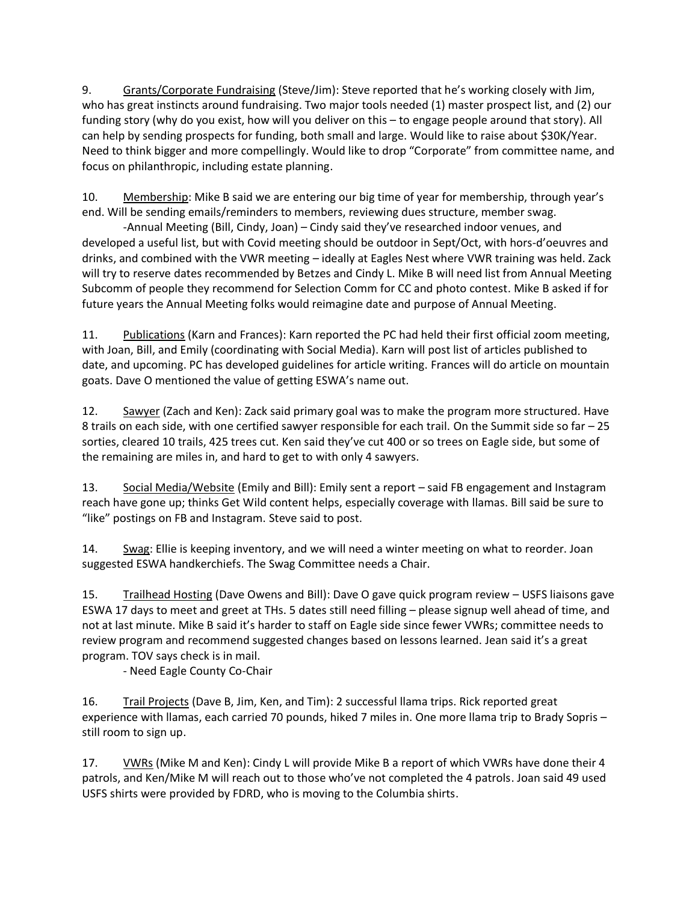9. Grants/Corporate Fundraising (Steve/Jim): Steve reported that he's working closely with Jim, who has great instincts around fundraising. Two major tools needed (1) master prospect list, and (2) our funding story (why do you exist, how will you deliver on this – to engage people around that story). All can help by sending prospects for funding, both small and large. Would like to raise about \$30K/Year. Need to think bigger and more compellingly. Would like to drop "Corporate" from committee name, and focus on philanthropic, including estate planning.

10. Membership: Mike B said we are entering our big time of year for membership, through year's end. Will be sending emails/reminders to members, reviewing dues structure, member swag.

-Annual Meeting (Bill, Cindy, Joan) – Cindy said they've researched indoor venues, and developed a useful list, but with Covid meeting should be outdoor in Sept/Oct, with hors-d'oeuvres and drinks, and combined with the VWR meeting – ideally at Eagles Nest where VWR training was held. Zack will try to reserve dates recommended by Betzes and Cindy L. Mike B will need list from Annual Meeting Subcomm of people they recommend for Selection Comm for CC and photo contest. Mike B asked if for future years the Annual Meeting folks would reimagine date and purpose of Annual Meeting.

11. Publications (Karn and Frances): Karn reported the PC had held their first official zoom meeting, with Joan, Bill, and Emily (coordinating with Social Media). Karn will post list of articles published to date, and upcoming. PC has developed guidelines for article writing. Frances will do article on mountain goats. Dave O mentioned the value of getting ESWA's name out.

12. Sawyer (Zach and Ken): Zack said primary goal was to make the program more structured. Have 8 trails on each side, with one certified sawyer responsible for each trail. On the Summit side so far – 25 sorties, cleared 10 trails, 425 trees cut. Ken said they've cut 400 or so trees on Eagle side, but some of the remaining are miles in, and hard to get to with only 4 sawyers.

13. Social Media/Website (Emily and Bill): Emily sent a report – said FB engagement and Instagram reach have gone up; thinks Get Wild content helps, especially coverage with llamas. Bill said be sure to "like" postings on FB and Instagram. Steve said to post.

14. Swag: Ellie is keeping inventory, and we will need a winter meeting on what to reorder. Joan suggested ESWA handkerchiefs. The Swag Committee needs a Chair.

15. Trailhead Hosting (Dave Owens and Bill): Dave O gave quick program review – USFS liaisons gave ESWA 17 days to meet and greet at THs. 5 dates still need filling – please signup well ahead of time, and not at last minute. Mike B said it's harder to staff on Eagle side since fewer VWRs; committee needs to review program and recommend suggested changes based on lessons learned. Jean said it's a great program. TOV says check is in mail.

- Need Eagle County Co-Chair

16. Trail Projects (Dave B, Jim, Ken, and Tim): 2 successful llama trips. Rick reported great experience with llamas, each carried 70 pounds, hiked 7 miles in. One more llama trip to Brady Sopris – still room to sign up.

17. VWRs (Mike M and Ken): Cindy L will provide Mike B a report of which VWRs have done their 4 patrols, and Ken/Mike M will reach out to those who've not completed the 4 patrols. Joan said 49 used USFS shirts were provided by FDRD, who is moving to the Columbia shirts.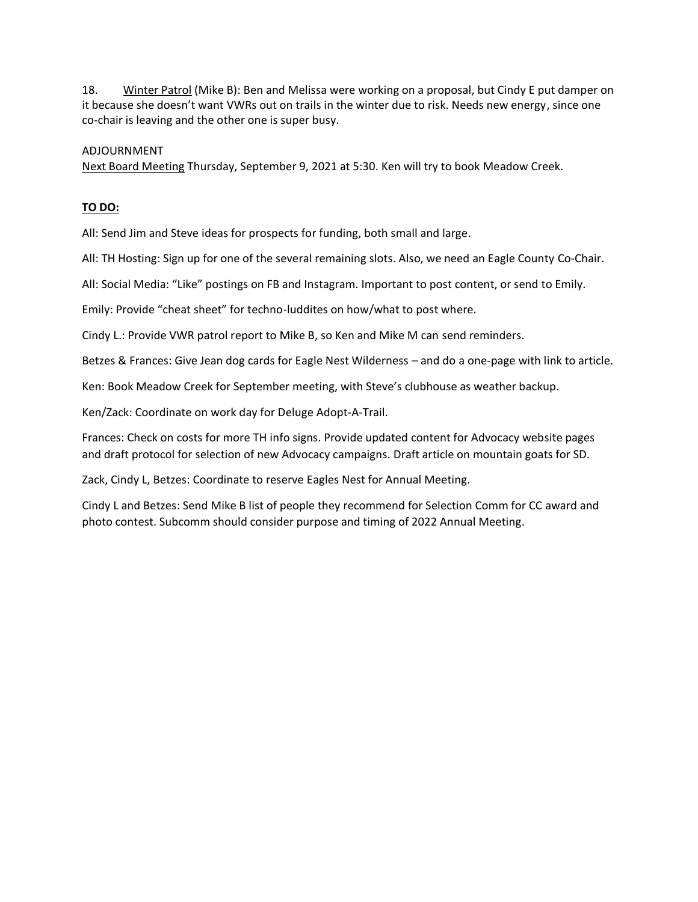18. Winter Patrol (Mike B): Ben and Melissa were working on a proposal, but Cindy E put damper on it because she doesn't want VWRs out on trails in the winter due to risk. Needs new energy, since one co-chair is leaving and the other one is super busy.

#### ADJOURNMENT

Next Board Meeting Thursday, September 9, 2021 at 5:30. Ken will try to book Meadow Creek.

#### **TO DO:**

All: Send Jim and Steve ideas for prospects for funding, both small and large.

All: TH Hosting: Sign up for one of the several remaining slots. Also, we need an Eagle County Co-Chair.

All: Social Media: "Like" postings on FB and Instagram. Important to post content, or send to Emily.

Emily: Provide "cheat sheet" for techno-luddites on how/what to post where.

Cindy L.: Provide VWR patrol report to Mike B, so Ken and Mike M can send reminders.

Betzes & Frances: Give Jean dog cards for Eagle Nest Wilderness – and do a one-page with link to article.

Ken: Book Meadow Creek for September meeting, with Steve's clubhouse as weather backup.

Ken/Zack: Coordinate on work day for Deluge Adopt-A-Trail.

Frances: Check on costs for more TH info signs. Provide updated content for Advocacy website pages and draft protocol for selection of new Advocacy campaigns. Draft article on mountain goats for SD.

Zack, Cindy L, Betzes: Coordinate to reserve Eagles Nest for Annual Meeting.

Cindy L and Betzes: Send Mike B list of people they recommend for Selection Comm for CC award and photo contest. Subcomm should consider purpose and timing of 2022 Annual Meeting.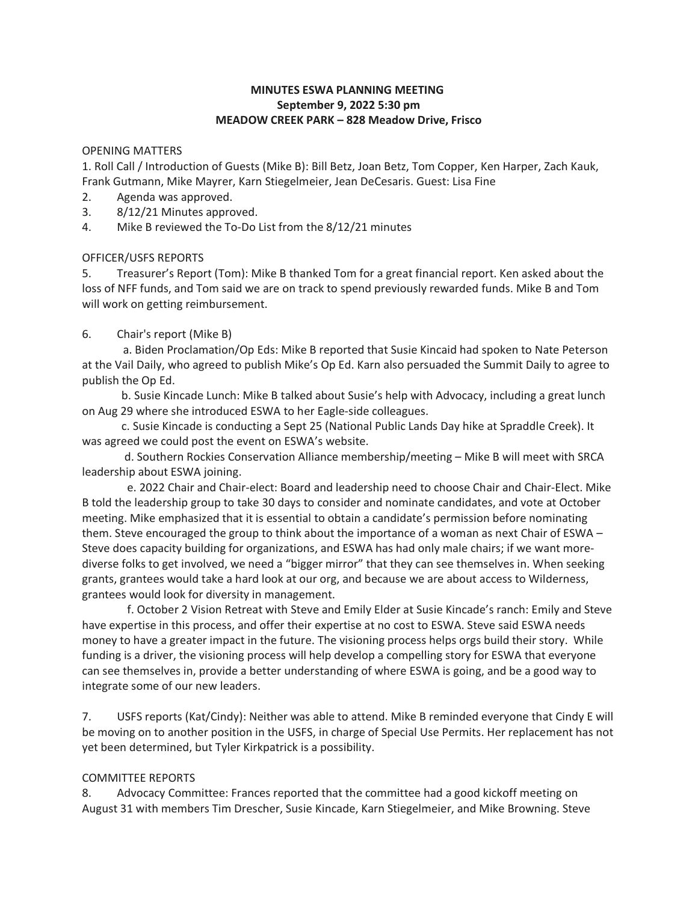#### **MINUTES ESWA PLANNING MEETING September 9, 2022 5:30 pm MEADOW CREEK PARK – 828 Meadow Drive, Frisco**

#### OPENING MATTERS

1. Roll Call / Introduction of Guests (Mike B): Bill Betz, Joan Betz, Tom Copper, Ken Harper, Zach Kauk, Frank Gutmann, Mike Mayrer, Karn Stiegelmeier, Jean DeCesaris. Guest: Lisa Fine

- 2. Agenda was approved.
- 3. 8/12/21 Minutes approved.
- 4. Mike B reviewed the To-Do List from the 8/12/21 minutes

#### OFFICER/USFS REPORTS

5. Treasurer's Report (Tom): Mike B thanked Tom for a great financial report. Ken asked about the loss of NFF funds, and Tom said we are on track to spend previously rewarded funds. Mike B and Tom will work on getting reimbursement.

#### 6. Chair's report (Mike B)

a. Biden Proclamation/Op Eds: Mike B reported that Susie Kincaid had spoken to Nate Peterson at the Vail Daily, who agreed to publish Mike's Op Ed. Karn also persuaded the Summit Daily to agree to publish the Op Ed.

 b. Susie Kincade Lunch: Mike B talked about Susie's help with Advocacy, including a great lunch on Aug 29 where she introduced ESWA to her Eagle-side colleagues.

 c. Susie Kincade is conducting a Sept 25 (National Public Lands Day hike at Spraddle Creek). It was agreed we could post the event on ESWA's website.

 d. Southern Rockies Conservation Alliance membership/meeting – Mike B will meet with SRCA leadership about ESWA joining.

 e. 2022 Chair and Chair-elect: Board and leadership need to choose Chair and Chair-Elect. Mike B told the leadership group to take 30 days to consider and nominate candidates, and vote at October meeting. Mike emphasized that it is essential to obtain a candidate's permission before nominating them. Steve encouraged the group to think about the importance of a woman as next Chair of ESWA – Steve does capacity building for organizations, and ESWA has had only male chairs; if we want morediverse folks to get involved, we need a "bigger mirror" that they can see themselves in. When seeking grants, grantees would take a hard look at our org, and because we are about access to Wilderness, grantees would look for diversity in management.

 f. October 2 Vision Retreat with Steve and Emily Elder at Susie Kincade's ranch: Emily and Steve have expertise in this process, and offer their expertise at no cost to ESWA. Steve said ESWA needs money to have a greater impact in the future. The visioning process helps orgs build their story. While funding is a driver, the visioning process will help develop a compelling story for ESWA that everyone can see themselves in, provide a better understanding of where ESWA is going, and be a good way to integrate some of our new leaders.

7. USFS reports (Kat/Cindy): Neither was able to attend. Mike B reminded everyone that Cindy E will be moving on to another position in the USFS, in charge of Special Use Permits. Her replacement has not yet been determined, but Tyler Kirkpatrick is a possibility.

#### COMMITTEE REPORTS

8. Advocacy Committee: Frances reported that the committee had a good kickoff meeting on August 31 with members Tim Drescher, Susie Kincade, Karn Stiegelmeier, and Mike Browning. Steve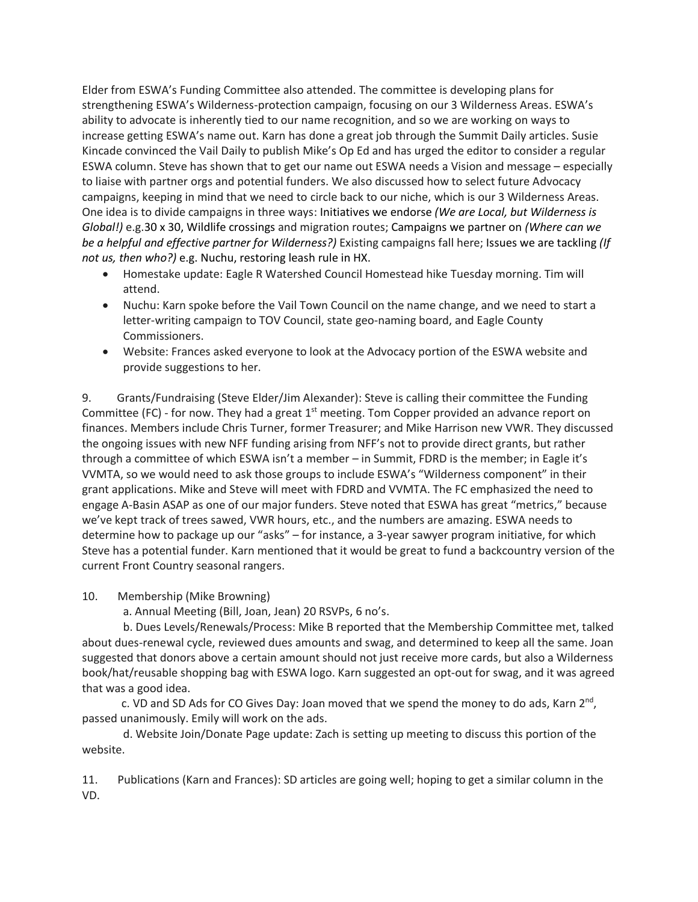Elder from ESWA's Funding Committee also attended. The committee is developing plans for strengthening ESWA's Wilderness-protection campaign, focusing on our 3 Wilderness Areas. ESWA's ability to advocate is inherently tied to our name recognition, and so we are working on ways to increase getting ESWA's name out. Karn has done a great job through the Summit Daily articles. Susie Kincade convinced the Vail Daily to publish Mike's Op Ed and has urged the editor to consider a regular ESWA column. Steve has shown that to get our name out ESWA needs a Vision and message – especially to liaise with partner orgs and potential funders. We also discussed how to select future Advocacy campaigns, keeping in mind that we need to circle back to our niche, which is our 3 Wilderness Areas. One idea is to divide campaigns in three ways: Initiatives we endorse *(We are Local, but Wilderness is Global!)* e.g.30 x 30, Wildlife crossings and migration routes; Campaigns we partner on *(Where can we be a helpful and effective partner for Wilderness?)* Existing campaigns fall here; Issues we are tackling *(If not us, then who?)* e.g. Nuchu, restoring leash rule in HX.

- Homestake update: Eagle R Watershed Council Homestead hike Tuesday morning. Tim will attend.
- Nuchu: Karn spoke before the Vail Town Council on the name change, and we need to start a letter-writing campaign to TOV Council, state geo-naming board, and Eagle County Commissioners.
- Website: Frances asked everyone to look at the Advocacy portion of the ESWA website and provide suggestions to her.

9. Grants/Fundraising (Steve Elder/Jim Alexander): Steve is calling their committee the Funding Committee (FC) - for now. They had a great  $1<sup>st</sup>$  meeting. Tom Copper provided an advance report on finances. Members include Chris Turner, former Treasurer; and Mike Harrison new VWR. They discussed the ongoing issues with new NFF funding arising from NFF's not to provide direct grants, but rather through a committee of which ESWA isn't a member – in Summit, FDRD is the member; in Eagle it's VVMTA, so we would need to ask those groups to include ESWA's "Wilderness component" in their grant applications. Mike and Steve will meet with FDRD and VVMTA. The FC emphasized the need to engage A-Basin ASAP as one of our major funders. Steve noted that ESWA has great "metrics," because we've kept track of trees sawed, VWR hours, etc., and the numbers are amazing. ESWA needs to determine how to package up our "asks" – for instance, a 3-year sawyer program initiative, for which Steve has a potential funder. Karn mentioned that it would be great to fund a backcountry version of the current Front Country seasonal rangers.

10. Membership (Mike Browning)

a. Annual Meeting (Bill, Joan, Jean) 20 RSVPs, 6 no's.

 b. Dues Levels/Renewals/Process: Mike B reported that the Membership Committee met, talked about dues-renewal cycle, reviewed dues amounts and swag, and determined to keep all the same. Joan suggested that donors above a certain amount should not just receive more cards, but also a Wilderness book/hat/reusable shopping bag with ESWA logo. Karn suggested an opt-out for swag, and it was agreed that was a good idea.

c. VD and SD Ads for CO Gives Day: Joan moved that we spend the money to do ads, Karn  $2<sup>nd</sup>$ , passed unanimously. Emily will work on the ads.

 d. Website Join/Donate Page update: Zach is setting up meeting to discuss this portion of the website.

11. Publications (Karn and Frances): SD articles are going well; hoping to get a similar column in the VD.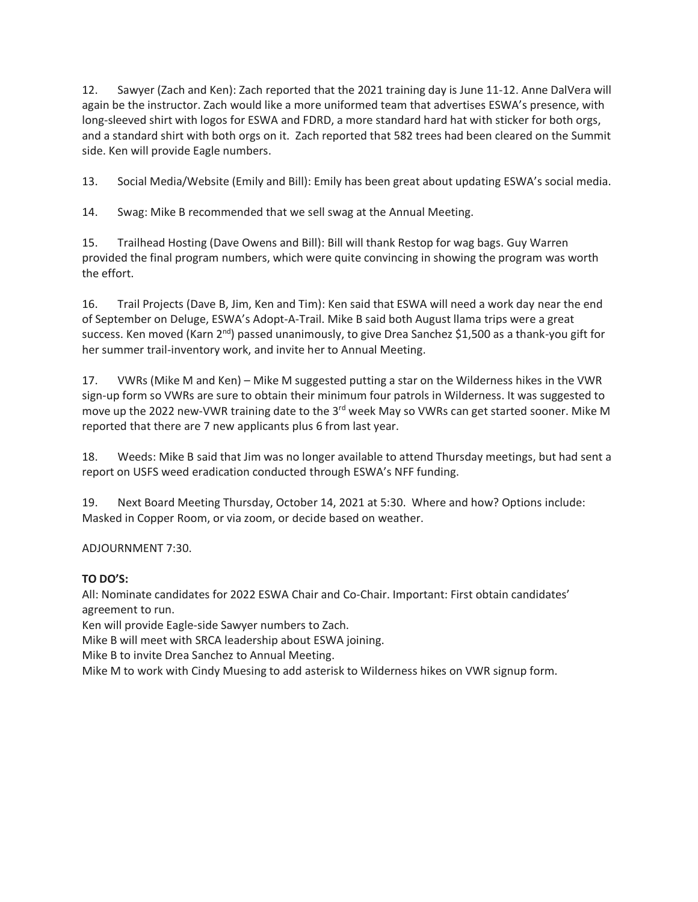12. Sawyer (Zach and Ken): Zach reported that the 2021 training day is June 11-12. Anne DalVera will again be the instructor. Zach would like a more uniformed team that advertises ESWA's presence, with long-sleeved shirt with logos for ESWA and FDRD, a more standard hard hat with sticker for both orgs, and a standard shirt with both orgs on it. Zach reported that 582 trees had been cleared on the Summit side. Ken will provide Eagle numbers.

13. Social Media/Website (Emily and Bill): Emily has been great about updating ESWA's social media.

14. Swag: Mike B recommended that we sell swag at the Annual Meeting.

15. Trailhead Hosting (Dave Owens and Bill): Bill will thank Restop for wag bags. Guy Warren provided the final program numbers, which were quite convincing in showing the program was worth the effort.

16. Trail Projects (Dave B, Jim, Ken and Tim): Ken said that ESWA will need a work day near the end of September on Deluge, ESWA's Adopt-A-Trail. Mike B said both August llama trips were a great success. Ken moved (Karn 2<sup>nd</sup>) passed unanimously, to give Drea Sanchez \$1,500 as a thank-you gift for her summer trail-inventory work, and invite her to Annual Meeting.

17. VWRs (Mike M and Ken) – Mike M suggested putting a star on the Wilderness hikes in the VWR sign-up form so VWRs are sure to obtain their minimum four patrols in Wilderness. It was suggested to move up the 2022 new-VWR training date to the 3<sup>rd</sup> week May so VWRs can get started sooner. Mike M reported that there are 7 new applicants plus 6 from last year.

18. Weeds: Mike B said that Jim was no longer available to attend Thursday meetings, but had sent a report on USFS weed eradication conducted through ESWA's NFF funding.

19. Next Board Meeting Thursday, October 14, 2021 at 5:30. Where and how? Options include: Masked in Copper Room, or via zoom, or decide based on weather.

## ADJOURNMENT 7:30.

## **TO DO'S:**

All: Nominate candidates for 2022 ESWA Chair and Co-Chair. Important: First obtain candidates' agreement to run.

Ken will provide Eagle-side Sawyer numbers to Zach.

Mike B will meet with SRCA leadership about ESWA joining.

Mike B to invite Drea Sanchez to Annual Meeting.

Mike M to work with Cindy Muesing to add asterisk to Wilderness hikes on VWR signup form.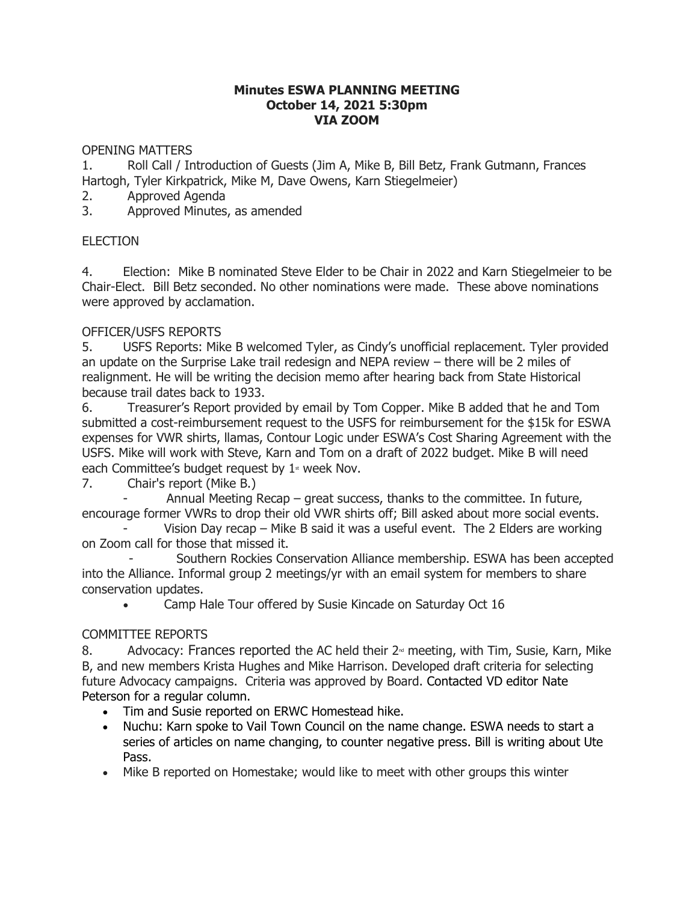#### **Minutes ESWA PLANNING MEETING October 14, 2021 5:30pm VIA ZOOM**

OPENING MATTERS

1. Roll Call / Introduction of Guests (Jim A, Mike B, Bill Betz, Frank Gutmann, Frances Hartogh, Tyler Kirkpatrick, Mike M, Dave Owens, Karn Stiegelmeier)

2. Approved Agenda

3. Approved Minutes, as amended

# **ELECTION**

4. Election: Mike B nominated Steve Elder to be Chair in 2022 and Karn Stiegelmeier to be Chair-Elect. Bill Betz seconded. No other nominations were made. These above nominations were approved by acclamation.

# OFFICER/USFS REPORTS

5. USFS Reports: Mike B welcomed Tyler, as Cindy's unofficial replacement. Tyler provided an update on the Surprise Lake trail redesign and NEPA review – there will be 2 miles of realignment. He will be writing the decision memo after hearing back from State Historical because trail dates back to 1933.

6. Treasurer's Report provided by email by Tom Copper. Mike B added that he and Tom submitted a cost-reimbursement request to the USFS for reimbursement for the \$15k for ESWA expenses for VWR shirts, llamas, Contour Logic under ESWA's Cost Sharing Agreement with the USFS. Mike will work with Steve, Karn and Tom on a draft of 2022 budget. Mike B will need each Committee's budget request by  $1$ <sup>\*</sup> week Nov.

7. Chair's report (Mike B.)

Annual Meeting Recap – great success, thanks to the committee. In future, encourage former VWRs to drop their old VWR shirts off; Bill asked about more social events.

Vision Day recap – Mike B said it was a useful event. The 2 Elders are working on Zoom call for those that missed it.

 - Southern Rockies Conservation Alliance membership. ESWA has been accepted into the Alliance. Informal group 2 meetings/yr with an email system for members to share conservation updates.

• Camp Hale Tour offered by Susie Kincade on Saturday Oct 16

## COMMITTEE REPORTS

8. Advocacy: Frances reported the AC held their  $2<sup>nd</sup>$  meeting, with Tim, Susie, Karn, Mike B, and new members Krista Hughes and Mike Harrison. Developed draft criteria for selecting future Advocacy campaigns. Criteria was approved by Board. Contacted VD editor Nate Peterson for a regular column.

- Tim and Susie reported on ERWC Homestead hike.
- Nuchu: Karn spoke to Vail Town Council on the name change. ESWA needs to start a series of articles on name changing, to counter negative press. Bill is writing about Ute Pass.
- Mike B reported on Homestake; would like to meet with other groups this winter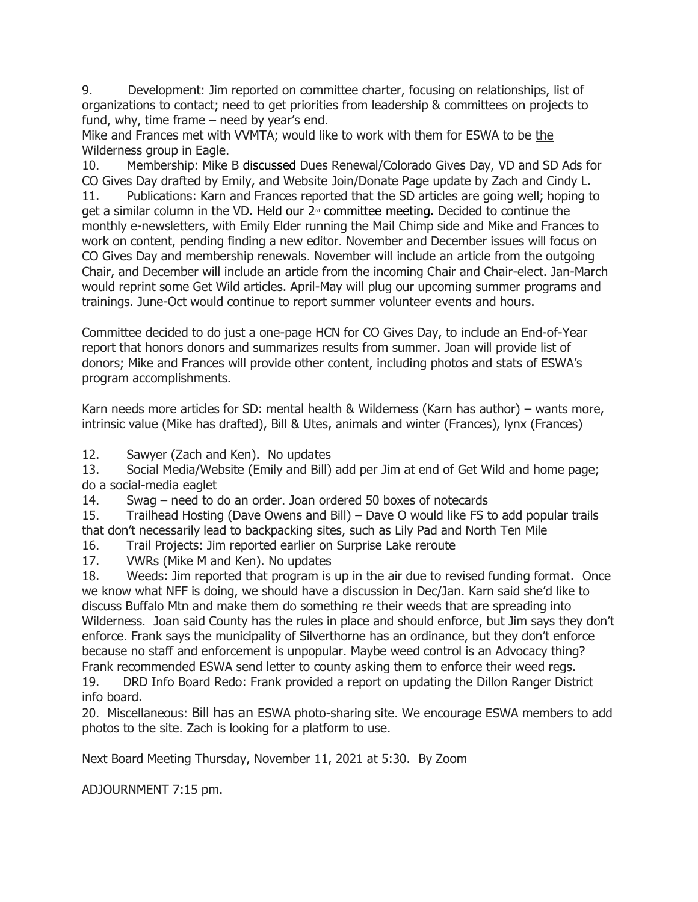9. Development: Jim reported on committee charter, focusing on relationships, list of organizations to contact; need to get priorities from leadership & committees on projects to fund, why, time frame – need by year's end.

Mike and Frances met with VVMTA; would like to work with them for ESWA to be the Wilderness group in Eagle.

10. Membership: Mike B discussed Dues Renewal/Colorado Gives Day, VD and SD Ads for CO Gives Day drafted by Emily, and Website Join/Donate Page update by Zach and Cindy L. 11. Publications: Karn and Frances reported that the SD articles are going well; hoping to get a similar column in the VD. Held our  $2<sup>d</sup>$  committee meeting. Decided to continue the monthly e-newsletters, with Emily Elder running the Mail Chimp side and Mike and Frances to work on content, pending finding a new editor. November and December issues will focus on CO Gives Day and membership renewals. November will include an article from the outgoing Chair, and December will include an article from the incoming Chair and Chair-elect. Jan-March

would reprint some Get Wild articles. April-May will plug our upcoming summer programs and trainings. June-Oct would continue to report summer volunteer events and hours. Committee decided to do just a one-page HCN for CO Gives Day, to include an End-of-Year report that honors donors and summarizes results from summer. Joan will provide list of donors; Mike and Frances will provide other content, including photos and stats of ESWA's

program accomplishments.

Karn needs more articles for SD: mental health & Wilderness (Karn has author) – wants more, intrinsic value (Mike has drafted), Bill & Utes, animals and winter (Frances), lynx (Frances)

12. Sawyer (Zach and Ken). No updates

13. Social Media/Website (Emily and Bill) add per Jim at end of Get Wild and home page; do a social-media eaglet

14. Swag – need to do an order. Joan ordered 50 boxes of notecards

15. Trailhead Hosting (Dave Owens and Bill) – Dave O would like FS to add popular trails that don't necessarily lead to backpacking sites, such as Lily Pad and North Ten Mile

16. Trail Projects: Jim reported earlier on Surprise Lake reroute

17. VWRs (Mike M and Ken). No updates

18. Weeds: Jim reported that program is up in the air due to revised funding format. Once we know what NFF is doing, we should have a discussion in Dec/Jan. Karn said she'd like to discuss Buffalo Mtn and make them do something re their weeds that are spreading into Wilderness. Joan said County has the rules in place and should enforce, but Jim says they don't enforce. Frank says the municipality of Silverthorne has an ordinance, but they don't enforce because no staff and enforcement is unpopular. Maybe weed control is an Advocacy thing? Frank recommended ESWA send letter to county asking them to enforce their weed regs.

19. DRD Info Board Redo: Frank provided a report on updating the Dillon Ranger District info board.

20. Miscellaneous: Bill has an ESWA photo-sharing site. We encourage ESWA members to add photos to the site. Zach is looking for a platform to use.

Next Board Meeting Thursday, November 11, 2021 at 5:30. By Zoom

ADJOURNMENT 7:15 pm.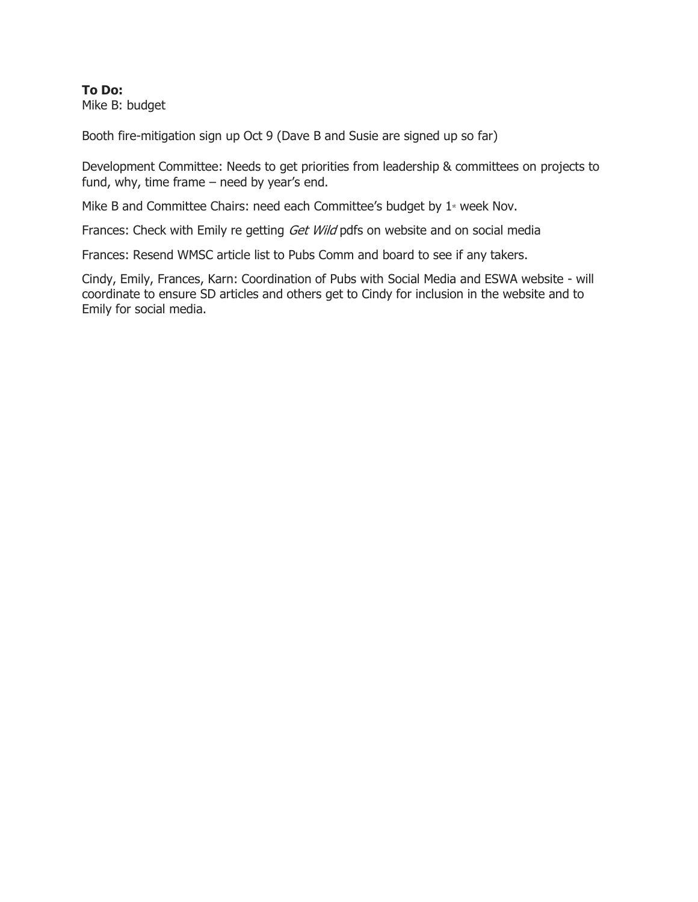#### **To Do:** Mike B: budget

Booth fire-mitigation sign up Oct 9 (Dave B and Susie are signed up so far)

Development Committee: Needs to get priorities from leadership & committees on projects to fund, why, time frame – need by year's end.

Mike B and Committee Chairs: need each Committee's budget by  $1*$  week Nov.

Frances: Check with Emily re getting Get Wild pdfs on website and on social media

Frances: Resend WMSC article list to Pubs Comm and board to see if any takers.

Cindy, Emily, Frances, Karn: Coordination of Pubs with Social Media and ESWA website - will coordinate to ensure SD articles and others get to Cindy for inclusion in the website and to Emily for social media.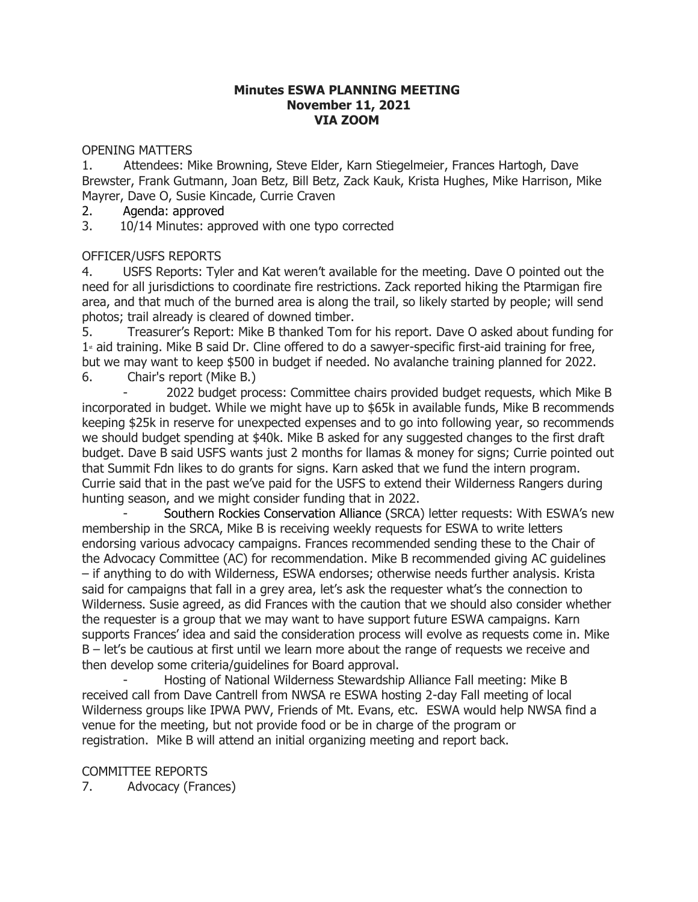#### **Minutes ESWA PLANNING MEETING November 11, 2021 VIA ZOOM**

OPENING MATTERS

1. Attendees: Mike Browning, Steve Elder, Karn Stiegelmeier, Frances Hartogh, Dave Brewster, Frank Gutmann, Joan Betz, Bill Betz, Zack Kauk, Krista Hughes, Mike Harrison, Mike Mayrer, Dave O, Susie Kincade, Currie Craven

2. Agenda: approved

3. 10/14 Minutes: approved with one typo corrected

# OFFICER/USFS REPORTS

4. USFS Reports: Tyler and Kat weren't available for the meeting. Dave O pointed out the need for all jurisdictions to coordinate fire restrictions. Zack reported hiking the Ptarmigan fire area, and that much of the burned area is along the trail, so likely started by people; will send photos; trail already is cleared of downed timber.

5. Treasurer's Report: Mike B thanked Tom for his report. Dave O asked about funding for  $1<sup>*</sup>$  aid training. Mike B said Dr. Cline offered to do a sawyer-specific first-aid training for free, but we may want to keep \$500 in budget if needed. No avalanche training planned for 2022. 6. Chair's report (Mike B.)

- 2022 budget process: Committee chairs provided budget requests, which Mike B incorporated in budget. While we might have up to \$65k in available funds, Mike B recommends keeping \$25k in reserve for unexpected expenses and to go into following year, so recommends we should budget spending at \$40k. Mike B asked for any suggested changes to the first draft budget. Dave B said USFS wants just 2 months for llamas & money for signs; Currie pointed out that Summit Fdn likes to do grants for signs. Karn asked that we fund the intern program. Currie said that in the past we've paid for the USFS to extend their Wilderness Rangers during hunting season, and we might consider funding that in 2022.

- Southern Rockies Conservation Alliance (SRCA) letter requests: With ESWA's new membership in the SRCA, Mike B is receiving weekly requests for ESWA to write letters endorsing various advocacy campaigns. Frances recommended sending these to the Chair of the Advocacy Committee (AC) for recommendation. Mike B recommended giving AC guidelines – if anything to do with Wilderness, ESWA endorses; otherwise needs further analysis. Krista said for campaigns that fall in a grey area, let's ask the requester what's the connection to Wilderness. Susie agreed, as did Frances with the caution that we should also consider whether the requester is a group that we may want to have support future ESWA campaigns. Karn supports Frances' idea and said the consideration process will evolve as requests come in. Mike B – let's be cautious at first until we learn more about the range of requests we receive and then develop some criteria/guidelines for Board approval.

Hosting of National Wilderness Stewardship Alliance Fall meeting: Mike B received call from Dave Cantrell from NWSA re ESWA hosting 2-day Fall meeting of local Wilderness groups like IPWA PWV, Friends of Mt. Evans, etc. ESWA would help NWSA find a venue for the meeting, but not provide food or be in charge of the program or registration. Mike B will attend an initial organizing meeting and report back.

COMMITTEE REPORTS 7. Advocacy (Frances)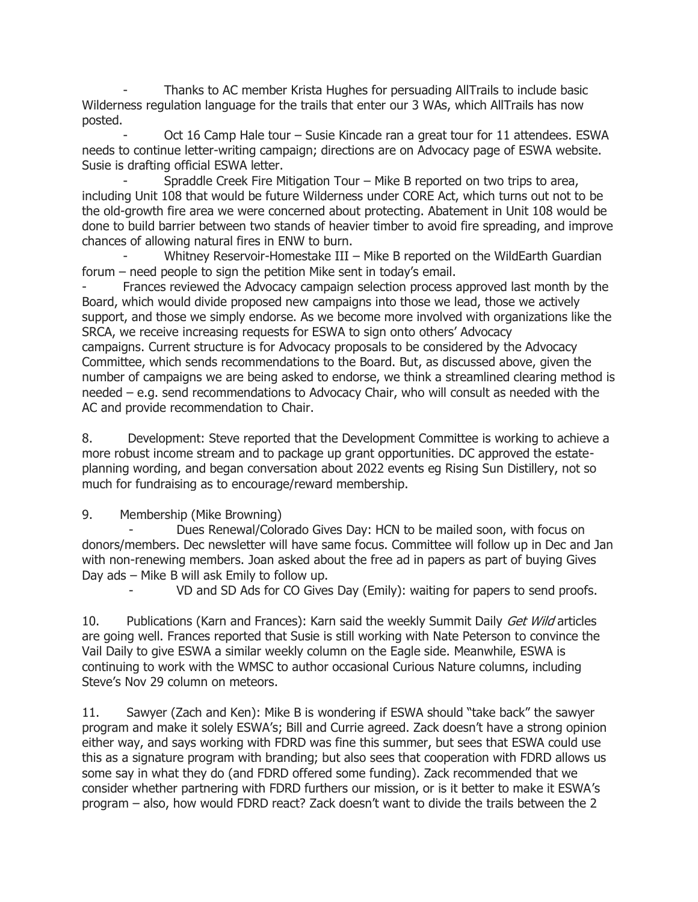- Thanks to AC member Krista Hughes for persuading AllTrails to include basic Wilderness regulation language for the trails that enter our 3 WAs, which AllTrails has now posted.

Oct 16 Camp Hale tour – Susie Kincade ran a great tour for 11 attendees. ESWA needs to continue letter-writing campaign; directions are on Advocacy page of ESWA website. Susie is drafting official ESWA letter.

Spraddle Creek Fire Mitigation Tour – Mike B reported on two trips to area, including Unit 108 that would be future Wilderness under CORE Act, which turns out not to be the old-growth fire area we were concerned about protecting. Abatement in Unit 108 would be done to build barrier between two stands of heavier timber to avoid fire spreading, and improve chances of allowing natural fires in ENW to burn.

Whitney Reservoir-Homestake III - Mike B reported on the WildEarth Guardian forum – need people to sign the petition Mike sent in today's email.

Frances reviewed the Advocacy campaign selection process approved last month by the Board, which would divide proposed new campaigns into those we lead, those we actively support, and those we simply endorse. As we become more involved with organizations like the SRCA, we receive increasing requests for ESWA to sign onto others' Advocacy campaigns. Current structure is for Advocacy proposals to be considered by the Advocacy Committee, which sends recommendations to the Board. But, as discussed above, given the number of campaigns we are being asked to endorse, we think a streamlined clearing method is needed – e.g. send recommendations to Advocacy Chair, who will consult as needed with the AC and provide recommendation to Chair.

8. Development: Steve reported that the Development Committee is working to achieve a more robust income stream and to package up grant opportunities. DC approved the estateplanning wording, and began conversation about 2022 events eg Rising Sun Distillery, not so much for fundraising as to encourage/reward membership.

9. Membership (Mike Browning)

Dues Renewal/Colorado Gives Day: HCN to be mailed soon, with focus on donors/members. Dec newsletter will have same focus. Committee will follow up in Dec and Jan with non-renewing members. Joan asked about the free ad in papers as part of buying Gives Day ads – Mike B will ask Emily to follow up.

VD and SD Ads for CO Gives Day (Emily): waiting for papers to send proofs.

10. Publications (Karn and Frances): Karn said the weekly Summit Daily Get Wild articles are going well. Frances reported that Susie is still working with Nate Peterson to convince the Vail Daily to give ESWA a similar weekly column on the Eagle side. Meanwhile, ESWA is continuing to work with the WMSC to author occasional Curious Nature columns, including Steve's Nov 29 column on meteors.

11. Sawyer (Zach and Ken): Mike B is wondering if ESWA should "take back" the sawyer program and make it solely ESWA's; Bill and Currie agreed. Zack doesn't have a strong opinion either way, and says working with FDRD was fine this summer, but sees that ESWA could use this as a signature program with branding; but also sees that cooperation with FDRD allows us some say in what they do (and FDRD offered some funding). Zack recommended that we consider whether partnering with FDRD furthers our mission, or is it better to make it ESWA's program – also, how would FDRD react? Zack doesn't want to divide the trails between the 2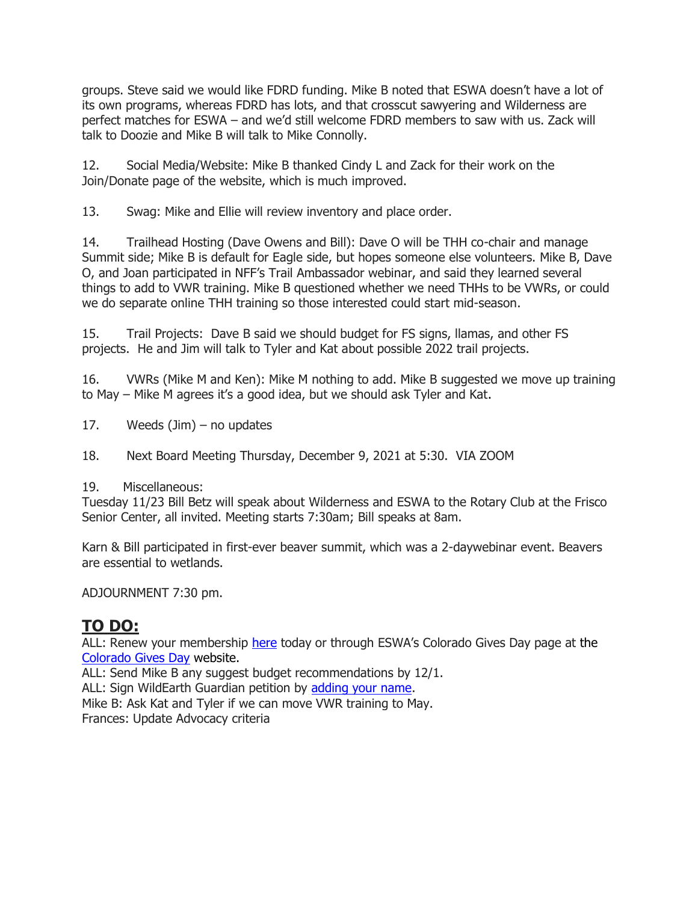groups. Steve said we would like FDRD funding. Mike B noted that ESWA doesn't have a lot of its own programs, whereas FDRD has lots, and that crosscut sawyering and Wilderness are perfect matches for ESWA – and we'd still welcome FDRD members to saw with us. Zack will talk to Doozie and Mike B will talk to Mike Connolly.

12. Social Media/Website: Mike B thanked Cindy L and Zack for their work on the Join/Donate page of the website, which is much improved.

13. Swag: Mike and Ellie will review inventory and place order.

14. Trailhead Hosting (Dave Owens and Bill): Dave O will be THH co-chair and manage Summit side; Mike B is default for Eagle side, but hopes someone else volunteers. Mike B, Dave O, and Joan participated in NFF's Trail Ambassador webinar, and said they learned several things to add to VWR training. Mike B questioned whether we need THHs to be VWRs, or could we do separate online THH training so those interested could start mid-season.

15. Trail Projects: Dave B said we should budget for FS signs, llamas, and other FS projects. He and Jim will talk to Tyler and Kat about possible 2022 trail projects.

16. VWRs (Mike M and Ken): Mike M nothing to add. Mike B suggested we move up training to May – Mike M agrees it's a good idea, but we should ask Tyler and Kat.

17. Weeds  $(\text{Jim})$  – no updates

18. Next Board Meeting Thursday, December 9, 2021 at 5:30. VIA ZOOM

19. Miscellaneous:

Tuesday 11/23 Bill Betz will speak about Wilderness and ESWA to the Rotary Club at the Frisco Senior Center, all invited. Meeting starts 7:30am; Bill speaks at 8am.

Karn & Bill participated in first-ever beaver summit, which was a 2-daywebinar event. Beavers are essential to wetlands.

ADJOURNMENT 7:30 pm.

# **TO DO:**

ALL: Renew your membership [here](https://www.eaglesummitwilderness.org/copy-of-join) today or through ESWA's Colorado Gives Day page at the [Colorado Gives Day](https://www.coloradogives.org/EagleSummitWildernessAlliance/overview?step=step1) website.

ALL: Send Mike B any suggest budget recommendations by 12/1.

ALL: Sign WildEarth Guardian petition by [adding your name.](https://guardiansaction.org/ColoradoRiver)

Mike B: Ask Kat and Tyler if we can move VWR training to May.

Frances: Update Advocacy criteria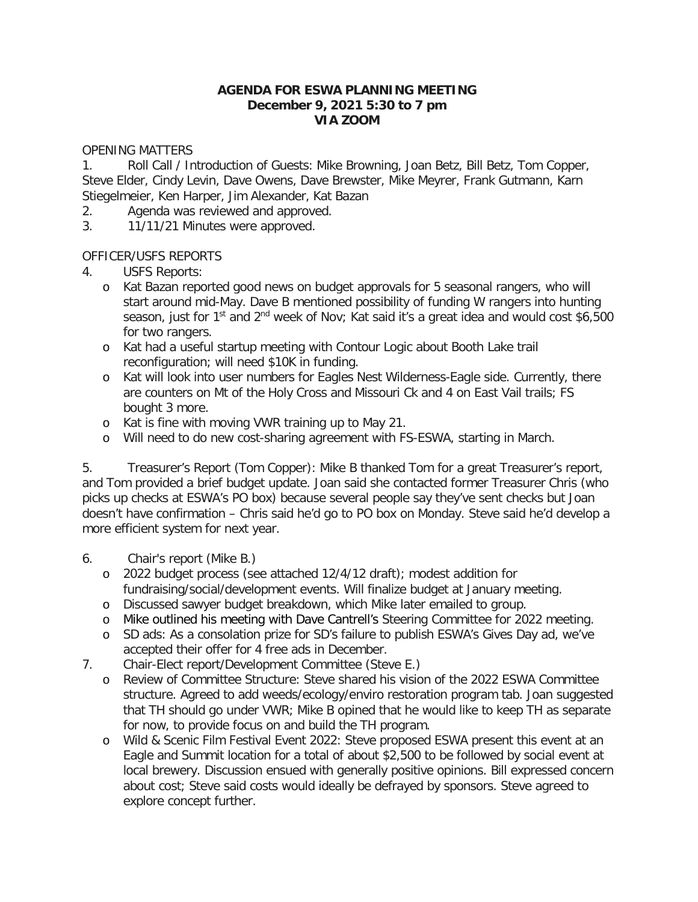#### **AGENDA FOR ESWA PLANNING MEETING December 9, 2021 5:30 to 7 pm VIA ZOOM**

#### OPENING MATTERS

1. Roll Call / Introduction of Guests: Mike Browning, Joan Betz, Bill Betz, Tom Copper, Steve Elder, Cindy Levin, Dave Owens, Dave Brewster, Mike Meyrer, Frank Gutmann, Karn Stiegelmeier, Ken Harper, Jim Alexander, Kat Bazan

- 2. Agenda was reviewed and approved.
- 3. 11/11/21 Minutes were approved.

## OFFICER/USFS REPORTS

4. USFS Reports:

- o Kat Bazan reported good news on budget approvals for 5 seasonal rangers, who will start around mid-May. Dave B mentioned possibility of funding W rangers into hunting season, just for 1<sup>st</sup> and 2<sup>nd</sup> week of Nov; Kat said it's a great idea and would cost \$6,500 for two rangers.
- o Kat had a useful startup meeting with Contour Logic about Booth Lake trail reconfiguration; will need \$10K in funding.
- o Kat will look into user numbers for Eagles Nest Wilderness-Eagle side. Currently, there are counters on Mt of the Holy Cross and Missouri Ck and 4 on East Vail trails; FS bought 3 more.
- o Kat is fine with moving VWR training up to May 21.
- o Will need to do new cost-sharing agreement with FS-ESWA, starting in March.

5. Treasurer's Report (Tom Copper): Mike B thanked Tom for a great Treasurer's report, and Tom provided a brief budget update. Joan said she contacted former Treasurer Chris (who picks up checks at ESWA's PO box) because several people say they've sent checks but Joan doesn't have confirmation – Chris said he'd go to PO box on Monday. Steve said he'd develop a more efficient system for next year.

- 6. Chair's report (Mike B.)
	- o 2022 budget process (see attached 12/4/12 draft); modest addition for fundraising/social/development events. Will finalize budget at January meeting.
	- o Discussed sawyer budget breakdown, which Mike later emailed to group.
	- o Mike outlined his meeting with Dave Cantrell's Steering Committee for 2022 meeting.
	- o SD ads: As a consolation prize for SD's failure to publish ESWA's Gives Day ad, we've accepted their offer for 4 free ads in December.
- 7. Chair-Elect report/Development Committee (Steve E.)
	- o Review of Committee Structure: Steve shared his vision of the 2022 ESWA Committee structure. Agreed to add weeds/ecology/enviro restoration program tab. Joan suggested that TH should go under VWR; Mike B opined that he would like to keep TH as separate for now, to provide focus on and build the TH program.
	- o Wild & Scenic Film Festival Event 2022: Steve proposed ESWA present this event at an Eagle and Summit location for a total of about \$2,500 to be followed by social event at local brewery. Discussion ensued with generally positive opinions. Bill expressed concern about cost; Steve said costs would ideally be defrayed by sponsors. Steve agreed to explore concept further.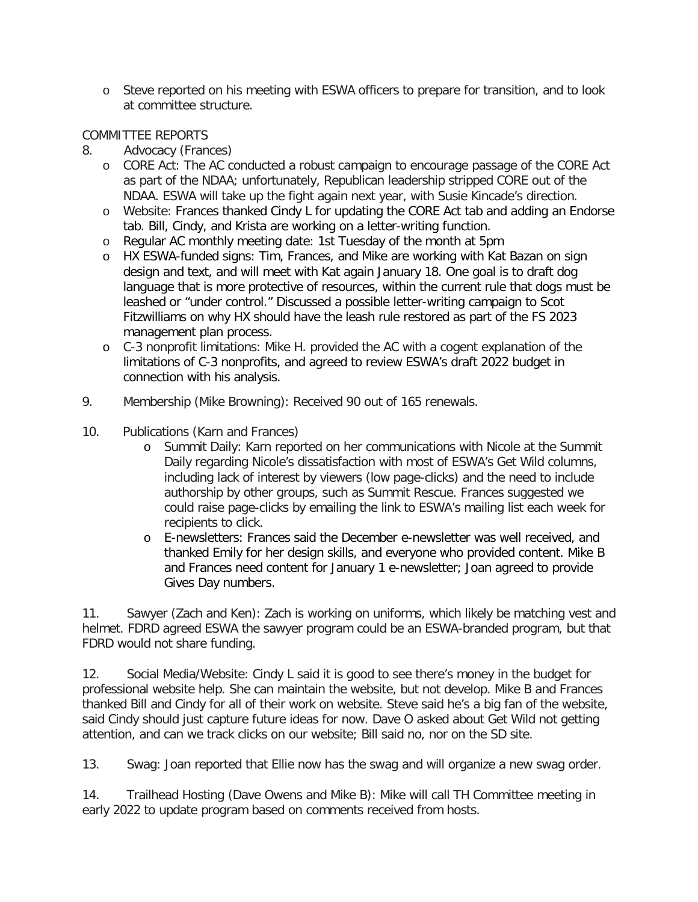o Steve reported on his meeting with ESWA officers to prepare for transition, and to look at committee structure.

# COMMITTEE REPORTS

- 8. Advocacy (Frances)
	- o CORE Act: The AC conducted a robust campaign to encourage passage of the CORE Act as part of the NDAA; unfortunately, Republican leadership stripped CORE out of the NDAA. ESWA will take up the fight again next year, with Susie Kincade's direction.
	- o Website: Frances thanked Cindy L for updating the CORE Act tab and adding an Endorse tab. Bill, Cindy, and Krista are working on a letter-writing function.
	- o Regular AC monthly meeting date: 1st Tuesday of the month at 5pm
	- o HX ESWA-funded signs: Tim, Frances, and Mike are working with Kat Bazan on sign design and text, and will meet with Kat again January 18. One goal is to draft dog language that is more protective of resources, within the current rule that dogs must be leashed or "under control." Discussed a possible letter-writing campaign to Scot Fitzwilliams on why HX should have the leash rule restored as part of the FS 2023 management plan process.
	- o C-3 nonprofit limitations: Mike H. provided the AC with a cogent explanation of the limitations of C-3 nonprofits, and agreed to review ESWA's draft 2022 budget in connection with his analysis.
- 9. Membership (Mike Browning): Received 90 out of 165 renewals.
- 10. Publications (Karn and Frances)
	- o Summit Daily: Karn reported on her communications with Nicole at the Summit Daily regarding Nicole's dissatisfaction with most of ESWA's Get Wild columns, including lack of interest by viewers (low page-clicks) and the need to include authorship by other groups, such as Summit Rescue. Frances suggested we could raise page-clicks by emailing the link to ESWA's mailing list each week for recipients to click.
	- o E-newsletters: Frances said the December e-newsletter was well received, and thanked Emily for her design skills, and everyone who provided content. Mike B and Frances need content for January 1 e-newsletter; Joan agreed to provide Gives Day numbers.

11. Sawyer (Zach and Ken): Zach is working on uniforms, which likely be matching vest and helmet. FDRD agreed ESWA the sawyer program could be an ESWA-branded program, but that FDRD would not share funding.

12. Social Media/Website: Cindy L said it is good to see there's money in the budget for professional website help. She can maintain the website, but not develop. Mike B and Frances thanked Bill and Cindy for all of their work on website. Steve said he's a big fan of the website, said Cindy should just capture future ideas for now. Dave O asked about Get Wild not getting attention, and can we track clicks on our website; Bill said no, nor on the SD site.

13. Swag: Joan reported that Ellie now has the swag and will organize a new swag order.

14. Trailhead Hosting (Dave Owens and Mike B): Mike will call TH Committee meeting in early 2022 to update program based on comments received from hosts.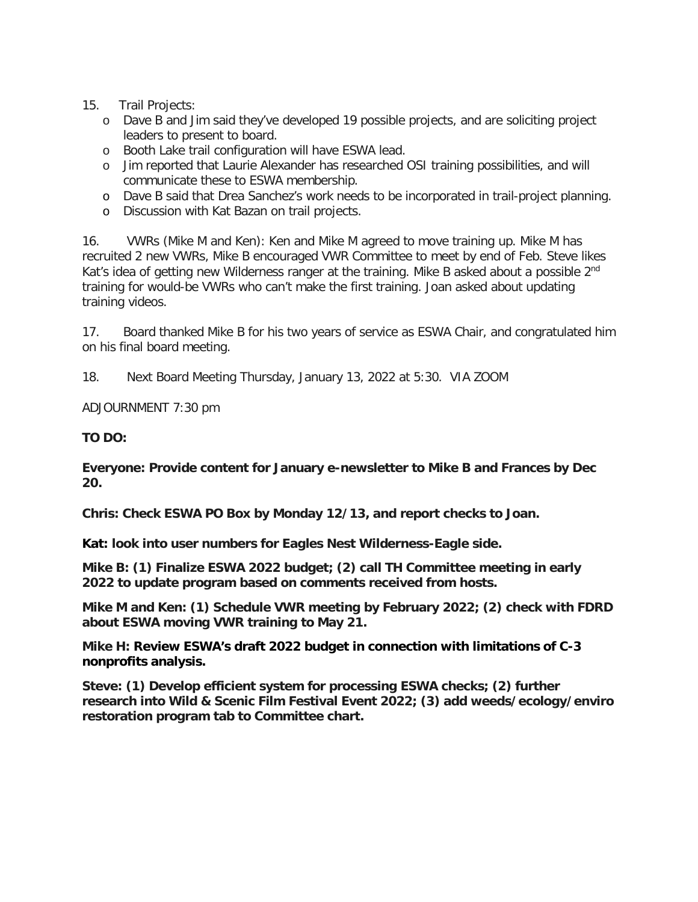# 15. Trail Projects:

- o Dave B and Jim said they've developed 19 possible projects, and are soliciting project leaders to present to board.
- o Booth Lake trail configuration will have ESWA lead.
- o Jim reported that Laurie Alexander has researched OSI training possibilities, and will communicate these to ESWA membership.
- o Dave B said that Drea Sanchez's work needs to be incorporated in trail-project planning.
- o Discussion with Kat Bazan on trail projects.

16. VWRs (Mike M and Ken): Ken and Mike M agreed to move training up. Mike M has recruited 2 new VWRs, Mike B encouraged VWR Committee to meet by end of Feb. Steve likes Kat's idea of getting new Wilderness ranger at the training. Mike B asked about a possible 2<sup>nd</sup> training for would-be VWRs who can't make the first training. Joan asked about updating training videos.

17. Board thanked Mike B for his two years of service as ESWA Chair, and congratulated him on his final board meeting.

18. Next Board Meeting Thursday, January 13, 2022 at 5:30. VIA ZOOM

ADJOURNMENT 7:30 pm

## **TO DO:**

**Everyone: Provide content for January e-newsletter to Mike B and Frances by Dec 20.**

**Chris: Check ESWA PO Box by Monday 12/13, and report checks to Joan.**

**Kat: look into user numbers for Eagles Nest Wilderness-Eagle side.**

**Mike B: (1) Finalize ESWA 2022 budget; (2) call TH Committee meeting in early 2022 to update program based on comments received from hosts.**

**Mike M and Ken: (1) Schedule VWR meeting by February 2022; (2) check with FDRD about ESWA moving VWR training to May 21.**

**Mike H: Review ESWA's draft 2022 budget in connection with limitations of C-3 nonprofits analysis.**

**Steve: (1) Develop efficient system for processing ESWA checks; (2) further research into Wild & Scenic Film Festival Event 2022; (3) add weeds/ecology/enviro restoration program tab to Committee chart.**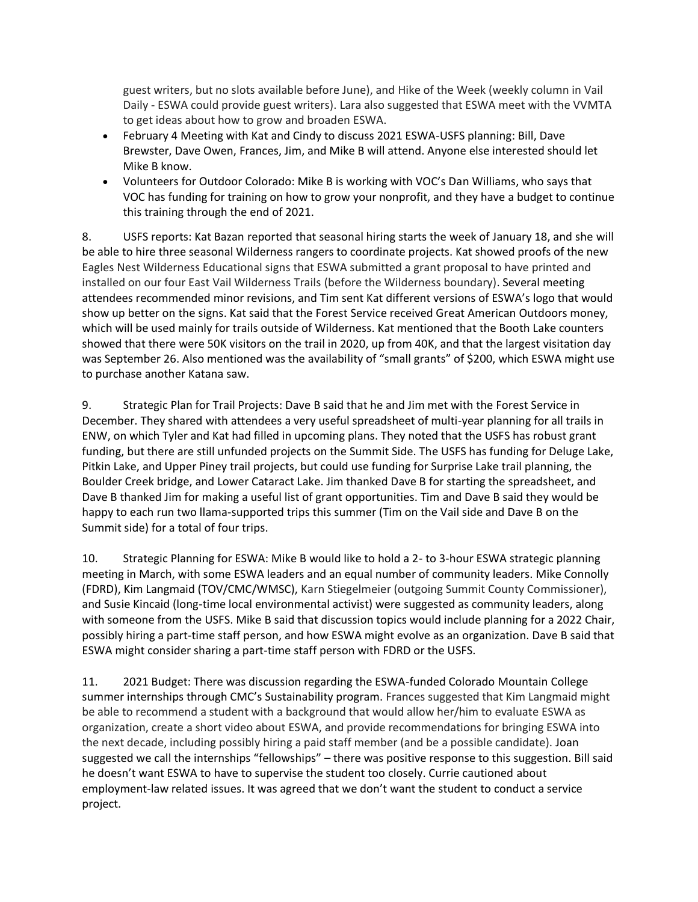guest writers, but no slots available before June), and Hike of the Week (weekly column in Vail Daily - ESWA could provide guest writers). Lara also suggested that ESWA meet with the VVMTA to get ideas about how to grow and broaden ESWA.

- February 4 Meeting with Kat and Cindy to discuss 2021 ESWA-USFS planning: Bill, Dave Brewster, Dave Owen, Frances, Jim, and Mike B will attend. Anyone else interested should let Mike B know.
- Volunteers for Outdoor Colorado: Mike B is working with VOC's Dan Williams, who says that VOC has funding for training on how to grow your nonprofit, and they have a budget to continue this training through the end of 2021.

8. USFS reports: Kat Bazan reported that seasonal hiring starts the week of January 18, and she will be able to hire three seasonal Wilderness rangers to coordinate projects. Kat showed proofs of the new Eagles Nest Wilderness Educational signs that ESWA submitted a grant proposal to have printed and installed on our four East Vail Wilderness Trails (before the Wilderness boundary). Several meeting attendees recommended minor revisions, and Tim sent Kat different versions of ESWA's logo that would show up better on the signs. Kat said that the Forest Service received Great American Outdoors money, which will be used mainly for trails outside of Wilderness. Kat mentioned that the Booth Lake counters showed that there were 50K visitors on the trail in 2020, up from 40K, and that the largest visitation day was September 26. Also mentioned was the availability of "small grants" of \$200, which ESWA might use to purchase another Katana saw.

9. Strategic Plan for Trail Projects: Dave B said that he and Jim met with the Forest Service in December. They shared with attendees a very useful spreadsheet of multi-year planning for all trails in ENW, on which Tyler and Kat had filled in upcoming plans. They noted that the USFS has robust grant funding, but there are still unfunded projects on the Summit Side. The USFS has funding for Deluge Lake, Pitkin Lake, and Upper Piney trail projects, but could use funding for Surprise Lake trail planning, the Boulder Creek bridge, and Lower Cataract Lake. Jim thanked Dave B for starting the spreadsheet, and Dave B thanked Jim for making a useful list of grant opportunities. Tim and Dave B said they would be happy to each run two llama-supported trips this summer (Tim on the Vail side and Dave B on the Summit side) for a total of four trips.

10. Strategic Planning for ESWA: Mike B would like to hold a 2- to 3-hour ESWA strategic planning meeting in March, with some ESWA leaders and an equal number of community leaders. Mike Connolly (FDRD), Kim Langmaid (TOV/CMC/WMSC), Karn Stiegelmeier (outgoing Summit County Commissioner), and Susie Kincaid (long-time local environmental activist) were suggested as community leaders, along with someone from the USFS. Mike B said that discussion topics would include planning for a 2022 Chair, possibly hiring a part-time staff person, and how ESWA might evolve as an organization. Dave B said that ESWA might consider sharing a part-time staff person with FDRD or the USFS.

11. 2021 Budget: There was discussion regarding the ESWA-funded Colorado Mountain College summer internships through CMC's Sustainability program. Frances suggested that Kim Langmaid might be able to recommend a student with a background that would allow her/him to evaluate ESWA as organization, create a short video about ESWA, and provide recommendations for bringing ESWA into the next decade, including possibly hiring a paid staff member (and be a possible candidate). Joan suggested we call the internships "fellowships" – there was positive response to this suggestion. Bill said he doesn't want ESWA to have to supervise the student too closely. Currie cautioned about employment-law related issues. It was agreed that we don't want the student to conduct a service project.